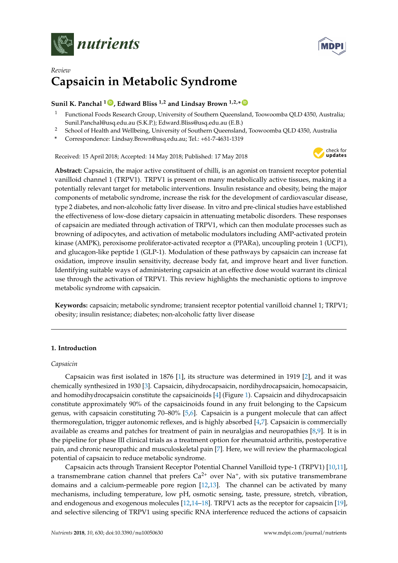



# *Review* **Capsaicin in Metabolic Syndrome**

# **Sunil K. Panchal <sup>1</sup> [ID](https://orcid.org/0000-0001-5464-3376) , Edward Bliss 1,2 and Lindsay Brown 1,2,\* [ID](https://orcid.org/0000-0001-7837-991X)**

- <sup>1</sup> Functional Foods Research Group, University of Southern Queensland, Toowoomba QLD 4350, Australia; Sunil.Panchal@usq.edu.au (S.K.P.); Edward.Bliss@usq.edu.au (E.B.)
- <sup>2</sup> School of Health and Wellbeing, University of Southern Queensland, Toowoomba QLD 4350, Australia
- **\*** Correspondence: Lindsay.Brown@usq.edu.au; Tel.: +61-7-4631-1319

Received: 15 April 2018; Accepted: 14 May 2018; Published: 17 May 2018



**Abstract:** Capsaicin, the major active constituent of chilli, is an agonist on transient receptor potential vanilloid channel 1 (TRPV1). TRPV1 is present on many metabolically active tissues, making it a potentially relevant target for metabolic interventions. Insulin resistance and obesity, being the major components of metabolic syndrome, increase the risk for the development of cardiovascular disease, type 2 diabetes, and non-alcoholic fatty liver disease. In vitro and pre-clinical studies have established the effectiveness of low-dose dietary capsaicin in attenuating metabolic disorders. These responses of capsaicin are mediated through activation of TRPV1, which can then modulate processes such as browning of adipocytes, and activation of metabolic modulators including AMP-activated protein kinase (AMPK), peroxisome proliferator-activated receptor  $\alpha$  (PPAR $\alpha$ ), uncoupling protein 1 (UCP1), and glucagon-like peptide 1 (GLP-1). Modulation of these pathways by capsaicin can increase fat oxidation, improve insulin sensitivity, decrease body fat, and improve heart and liver function. Identifying suitable ways of administering capsaicin at an effective dose would warrant its clinical use through the activation of TRPV1. This review highlights the mechanistic options to improve metabolic syndrome with capsaicin.

**Keywords:** capsaicin; metabolic syndrome; transient receptor potential vanilloid channel 1; TRPV1; obesity; insulin resistance; diabetes; non-alcoholic fatty liver disease

# **1. Introduction**

#### *Capsaicin*

Capsaicin was first isolated in 1876 [\[1\]](#page-12-0), its structure was determined in 1919 [\[2\]](#page-12-1), and it was chemically synthesized in 1930 [\[3\]](#page-12-2). Capsaicin, dihydrocapsaicin, nordihydrocapsaicin, homocapsaicin, and homodihydrocapsaicin constitute the capsaicinoids [\[4\]](#page-12-3) (Figure [1\)](#page-1-0). Capsaicin and dihydrocapsaicin constitute approximately 90% of the capsaicinoids found in any fruit belonging to the Capsicum genus, with capsaicin constituting 70–80% [\[5](#page-12-4)[,6\]](#page-12-5). Capsaicin is a pungent molecule that can affect thermoregulation, trigger autonomic reflexes, and is highly absorbed [\[4,](#page-12-3)[7\]](#page-12-6). Capsaicin is commercially available as creams and patches for treatment of pain in neuralgias and neuropathies [\[8](#page-12-7)[,9\]](#page-12-8). It is in the pipeline for phase III clinical trials as a treatment option for rheumatoid arthritis, postoperative pain, and chronic neuropathic and musculoskeletal pain [\[7\]](#page-12-6). Here, we will review the pharmacological potential of capsaicin to reduce metabolic syndrome.

Capsaicin acts through Transient Receptor Potential Channel Vanilloid type-1 (TRPV1) [\[10,](#page-12-9)[11\]](#page-12-10), a transmembrane cation channel that prefers  $Ca^{2+}$  over Na<sup>+</sup>, with six putative transmembrane domains and a calcium-permeable pore region [\[12](#page-12-11)[,13\]](#page-12-12). The channel can be activated by many mechanisms, including temperature, low pH, osmotic sensing, taste, pressure, stretch, vibration, and endogenous and exogenous molecules [\[12](#page-12-11)[,14–](#page-12-13)[18\]](#page-12-14). TRPV1 acts as the receptor for capsaicin [\[19\]](#page-12-15), and selective silencing of TRPV1 using specific RNA interference reduced the actions of capsaicin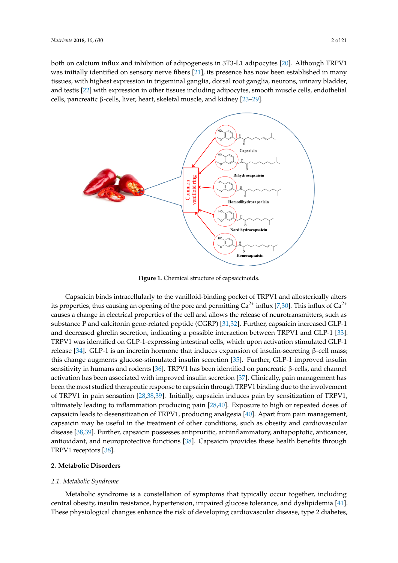both on calcium influx and inhibition of adipogenesis in 3T3-L1 adipocytes [\[20\]](#page-12-16). Although TRPV1 was initially identified on sensory nerve fibers [\[21\]](#page-12-17), its presence has now been established in many tissues, with highest expression in trigeminal ganglia, dorsal root ganglia, neurons, urinary bladder, with highest expression in trigeminal ganglia, dorsal root ganglia, neurons, urinary bladder, and and testis [\[22\]](#page-12-18) with expression in other tissues including adipocytes, smooth muscle cells, endothelial testis [22] with expression in other tissues including adipocytes, smooth muscle cells, endothelial cells, pancreatic β-cells, liver, heart, skeletal muscle, and kidney [\[23](#page-13-0)[–29\]](#page-13-1). cells, pancreatic β-cells, liver, heart, skeletal muscle, and kidney [23–29].

<span id="page-1-0"></span>

**Figure 1.** Chemical structure of capsaicinoids. **Figure 1.** Chemical structure of capsaicinoids.

Capsaicin binds intracellularly to the vanilloid-binding pocket of TRPV1 and allosterically alters Capsaicin binds intracellularly to the vanilloid-binding pocket of TRPV1 and allosterically alters its properties, thus causing an opening of the pore and permitting  $Ca^{2+}$  influx [\[7](#page-12-6)[,30\]](#page-13-2). This influx of  $Ca^{2+}$ Ca2+ causes a change in electrical properties of the cell and allows the release of neurotransmitters, causes a change in electrical properties of the cell and allows the release of neurotransmitters, such as such as substance P and calcitonin gene-related peptide (CGRP) [31,32]. Further, capsaicin increased substance P and calcitonin gene-related peptide (CGRP) [\[31](#page-13-3)[,32\]](#page-13-4). Further, capsaicin increased GLP-1 and decreased ghrelin secretion, indicating a possible interaction between TRPV1 and GLP-1 [\[33\]](#page-13-5). and decreased ginem secretion, mateding a possible interaction setween Tid VT and GET T<sub>100</sub>.<br>TRPV1 was identified on GLP-1-expressing intestinal cells, which upon activation stimulated GLP-1 rta VI was factured on GET 1 expressing intestinant cents, which apon activation summatica GET 1<br>release [\[34\]](#page-13-6). GLP-1 is an incretin hormone that induces expansion of insulin-secreting β-cell mass; mass; this change augments glucose-stimulated insulin secretion [35]. Further, GLP-1 improved this change augments glucose-stimulated insulin secretion [\[35\]](#page-13-7). Further, GLP-1 improved insulin  $\frac{1}{1}$  instants and rodents  $\frac{1}{2}$ . TRPV1 has been identified on pancreatic β-cells, and channel activation has been associated with improved insulin secretion [\[37\]](#page-13-9). Clinically, pain management has activation has been associated with improved insulin secretion [37]. Clinically, pain management has management has been the most studied therapeutic response to capsaicin through TRPV1 binding been the most studied therapeutic response to capsaicin through TRPV1 binding due to the involvement due to the involvement of TRPV1 in pain sensation [28,38,39]. Initially, capsaicin induces pain by of TRPV1 in pain sensation [\[28](#page-13-10)[,38,](#page-13-11)[39\]](#page-13-12). Initially, capsaicin induces pain by sensitization of TRPV1, of TRPV1 in pain sensation [20,00,09]. Initially, capsaich mattees pain by sensitization of TRPV1, ultimately leading to inflammation producing pain [\[28](#page-13-10)[,40\]](#page-13-13). Exposure to high or repeated doses of or repeated doses of capsaicin leads to desensitization of TRPV1, producing analgesia [40]. Apart capsaicin leads to desensitization of TRPV1, producing analgesia [\[40\]](#page-13-13). Apart from pain management, from pain management, capsaicin may be useful in the treatment of other conditions, such as obesity capsaicin may be useful in the treatment of other conditions, such as obesity and cardiovascular appeared that y be used in the treatment of other conditions, such as obesity and cardiovascular disease [\[38](#page-13-11)[,39\]](#page-13-12). Further, capsaicin possesses antipruritic, antiinflammatory, antiapoptotic, anticancer, antioxidant, and neuroprotective functions [\[38\]](#page-13-11). Capsaicin provides these health benefits through<br>TRBV4 TRPV1 receptors [\[38\]](#page-13-11).

# **2. Metabolic Disorders 2. Metabolic Disorders**

# *2.1. Metabolic Syndrome 2.1. Metabolic Syndrome*

Metabolic syndrome is a constellation of symptoms that typically occur together, including Metabolic syndrome is a constellation of symptoms that typically occur together, including central obesity, insulin resistance, hypertension, impaired glucose tolerance, and dyslipidemia [41]. central obesity, insulin resistance, hypertension, impaired glucose tolerance, and dyslipidemia [\[41\]](#page-13-14). These physiological changes enhance the risk of developing cardiovascular disease, type 2 diabetes, These physiological changes enhance the risk of developing cardiovascular disease, type 2 diabetes,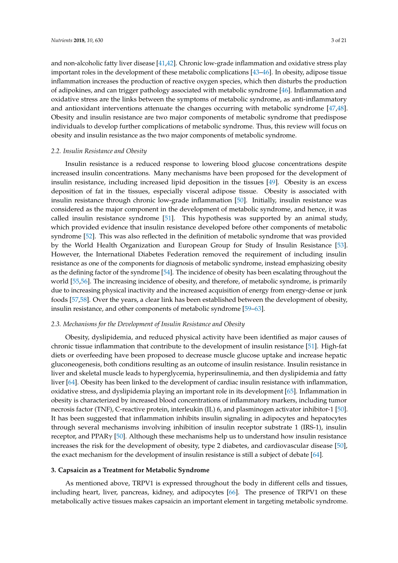and non-alcoholic fatty liver disease [\[41,](#page-13-14)[42\]](#page-13-15). Chronic low-grade inflammation and oxidative stress play important roles in the development of these metabolic complications [\[43–](#page-13-16)[46\]](#page-14-0). In obesity, adipose tissue inflammation increases the production of reactive oxygen species, which then disturbs the production of adipokines, and can trigger pathology associated with metabolic syndrome [\[46\]](#page-14-0). Inflammation and oxidative stress are the links between the symptoms of metabolic syndrome, as anti-inflammatory and antioxidant interventions attenuate the changes occurring with metabolic syndrome [\[47,](#page-14-1)[48\]](#page-14-2). Obesity and insulin resistance are two major components of metabolic syndrome that predispose individuals to develop further complications of metabolic syndrome. Thus, this review will focus on obesity and insulin resistance as the two major components of metabolic syndrome.

#### *2.2. Insulin Resistance and Obesity*

Insulin resistance is a reduced response to lowering blood glucose concentrations despite increased insulin concentrations. Many mechanisms have been proposed for the development of insulin resistance, including increased lipid deposition in the tissues [\[49\]](#page-14-3). Obesity is an excess deposition of fat in the tissues, especially visceral adipose tissue. Obesity is associated with insulin resistance through chronic low-grade inflammation [\[50\]](#page-14-4). Initially, insulin resistance was considered as the major component in the development of metabolic syndrome, and hence, it was called insulin resistance syndrome [\[51\]](#page-14-5). This hypothesis was supported by an animal study, which provided evidence that insulin resistance developed before other components of metabolic syndrome [\[52\]](#page-14-6). This was also reflected in the definition of metabolic syndrome that was provided by the World Health Organization and European Group for Study of Insulin Resistance [\[53\]](#page-14-7). However, the International Diabetes Federation removed the requirement of including insulin resistance as one of the components for diagnosis of metabolic syndrome, instead emphasizing obesity as the defining factor of the syndrome [\[54\]](#page-14-8). The incidence of obesity has been escalating throughout the world [\[55,](#page-14-9)[56\]](#page-14-10). The increasing incidence of obesity, and therefore, of metabolic syndrome, is primarily due to increasing physical inactivity and the increased acquisition of energy from energy-dense or junk foods [\[57](#page-14-11)[,58\]](#page-14-12). Over the years, a clear link has been established between the development of obesity, insulin resistance, and other components of metabolic syndrome [\[59–](#page-14-13)[63\]](#page-14-14).

#### *2.3. Mechanisms for the Development of Insulin Resistance and Obesity*

Obesity, dyslipidemia, and reduced physical activity have been identified as major causes of chronic tissue inflammation that contribute to the development of insulin resistance [\[51\]](#page-14-5). High-fat diets or overfeeding have been proposed to decrease muscle glucose uptake and increase hepatic gluconeogenesis, both conditions resulting as an outcome of insulin resistance. Insulin resistance in liver and skeletal muscle leads to hyperglycemia, hyperinsulinemia, and then dyslipidemia and fatty liver [\[64\]](#page-14-15). Obesity has been linked to the development of cardiac insulin resistance with inflammation, oxidative stress, and dyslipidemia playing an important role in its development [\[65\]](#page-15-0). Inflammation in obesity is characterized by increased blood concentrations of inflammatory markers, including tumor necrosis factor (TNF), C-reactive protein, interleukin (IL) 6, and plasminogen activator inhibitor-1 [\[50\]](#page-14-4). It has been suggested that inflammation inhibits insulin signaling in adipocytes and hepatocytes through several mechanisms involving inhibition of insulin receptor substrate 1 (IRS-1), insulin receptor, and PPAR $\gamma$  [\[50\]](#page-14-4). Although these mechanisms help us to understand how insulin resistance increases the risk for the development of obesity, type 2 diabetes, and cardiovascular disease [\[50\]](#page-14-4), the exact mechanism for the development of insulin resistance is still a subject of debate [\[64\]](#page-14-15).

#### **3. Capsaicin as a Treatment for Metabolic Syndrome**

As mentioned above, TRPV1 is expressed throughout the body in different cells and tissues, including heart, liver, pancreas, kidney, and adipocytes [\[66\]](#page-15-1). The presence of TRPV1 on these metabolically active tissues makes capsaicin an important element in targeting metabolic syndrome.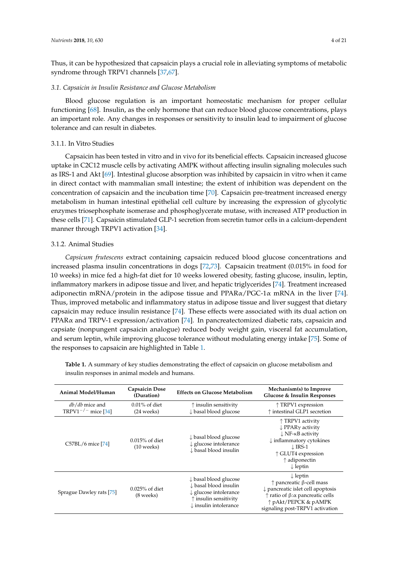Thus, it can be hypothesized that capsaicin plays a crucial role in alleviating symptoms of metabolic syndrome through TRPV1 channels [\[37](#page-13-9)[,67\]](#page-15-2).

#### *3.1. Capsaicin in Insulin Resistance and Glucose Metabolism*

Blood glucose regulation is an important homeostatic mechanism for proper cellular functioning [\[68\]](#page-15-3). Insulin, as the only hormone that can reduce blood glucose concentrations, plays an important role. Any changes in responses or sensitivity to insulin lead to impairment of glucose tolerance and can result in diabetes.

### 3.1.1. In Vitro Studies

Capsaicin has been tested in vitro and in vivo for its beneficial effects. Capsaicin increased glucose uptake in C2C12 muscle cells by activating AMPK without affecting insulin signaling molecules such as IRS-1 and Akt [\[69\]](#page-15-4). Intestinal glucose absorption was inhibited by capsaicin in vitro when it came in direct contact with mammalian small intestine; the extent of inhibition was dependent on the concentration of capsaicin and the incubation time [\[70\]](#page-15-5). Capsaicin pre-treatment increased energy metabolism in human intestinal epithelial cell culture by increasing the expression of glycolytic enzymes triosephosphate isomerase and phosphoglycerate mutase, with increased ATP production in these cells [\[71\]](#page-15-6). Capsaicin stimulated GLP-1 secretion from secretin tumor cells in a calcium-dependent manner through TRPV1 activation [\[34\]](#page-13-6).

# 3.1.2. Animal Studies

*Capsicum frutescens* extract containing capsaicin reduced blood glucose concentrations and increased plasma insulin concentrations in dogs [\[72](#page-15-7)[,73\]](#page-15-8). Capsaicin treatment (0.015% in food for 10 weeks) in mice fed a high-fat diet for 10 weeks lowered obesity, fasting glucose, insulin, leptin, inflammatory markers in adipose tissue and liver, and hepatic triglycerides [\[74\]](#page-15-9). Treatment increased adiponectin mRNA/protein in the adipose tissue and  $PPAR\alpha/PGC-1\alpha$  mRNA in the liver [\[74\]](#page-15-9). Thus, improved metabolic and inflammatory status in adipose tissue and liver suggest that dietary capsaicin may reduce insulin resistance [\[74\]](#page-15-9). These effects were associated with its dual action on PPAR $\alpha$  and TRPV-1 expression/activation [\[74\]](#page-15-9). In pancreatectomized diabetic rats, capsaicin and capsiate (nonpungent capsaicin analogue) reduced body weight gain, visceral fat accumulation, and serum leptin, while improving glucose tolerance without modulating energy intake [\[75\]](#page-15-10). Some of the responses to capsaicin are highlighted in Table [1.](#page-4-0)

**Animal Model/Human Capsaicin Dose (Duration) Effects on Glucose Metabolism Mechanism(s) to Improve Glucose & Insulin Responses** *db*/*db* mice and TRPV1<sup> $-/-$ </sup> mice [\[34\]](#page-13-6) 0.01% of diet (24 weeks) ↑ insulin sensitivity ↓ basal blood glucose ↑ TRPV1 expression ↑ intestinal GLP1 secretion C57BL/6 mice [\[74\]](#page-15-9) 0.015% of diet (10 weeks) ↓ basal blood glucose ↓ glucose intolerance ↓ basal blood insulin ↑ TRPV1 activity ↓ PPARγ activity ↓ NF-κB activity ↓ inflammatory cytokines  $\downarrow$  IRS-1 ↑ GLUT4 expression ↑ adiponectin ↓ leptin Sprague Dawley rats [\[75\]](#page-15-10) 0.025% of diet (8 weeks) ↓ basal blood glucose ↓ basal blood insulin ↓ glucose intolerance ↑ insulin sensitivity ↓ insulin intolerance ↓ leptin ↑ pancreatic β-cell mass ↓ pancreatic islet cell apoptosis ↑ ratio of β:α pancreatic cells ↑ pAkt/PEPCK & pAMPK signaling post-TRPV1 activation

**Table 1.** A summary of key studies demonstrating the effect of capsaicin on glucose metabolism and insulin responses in animal models and humans.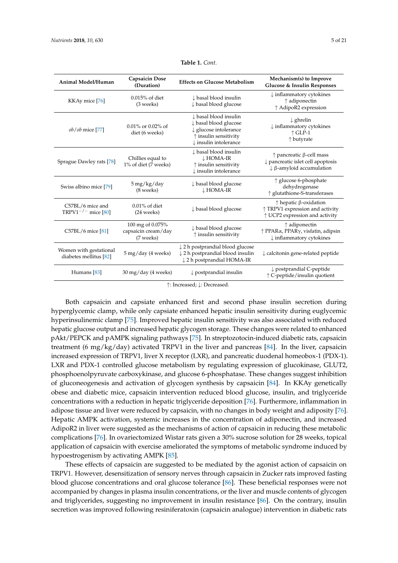<span id="page-4-0"></span>

| Animal Model/Human                                 | <b>Capsaicin Dose</b><br>(Duration)                  | <b>Effects on Glucose Metabolism</b>                                                                                                                     | Mechanism(s) to Improve<br>Glucose & Insulin Responses                                                                        |
|----------------------------------------------------|------------------------------------------------------|----------------------------------------------------------------------------------------------------------------------------------------------------------|-------------------------------------------------------------------------------------------------------------------------------|
| KKAy mice [76]                                     | $0.015%$ of diet<br>(3 weeks)                        | $\downarrow$ basal blood insulin<br>↓ basal blood glucose                                                                                                | $\downarrow$ inflammatory cytokines<br>$\uparrow$ adiponectin<br>↑ AdipoR2 expression                                         |
| ob/ob mice [77]                                    | $0.01\%$ or 0.02% of<br>diet (6 weeks)               | ↓ basal blood insulin<br>↓ basal blood glucose<br>$\downarrow$ glucose intolerance<br>$\uparrow$ insulin sensitivity<br>$\downarrow$ insulin intolerance | $\downarrow$ ghrelin<br>$\downarrow$ inflammatory cytokines<br>$\uparrow$ GLP-1<br>↑ butyrate                                 |
| Sprague Dawley rats [78]                           | Chillies equal to<br>1% of diet (7 weeks)            | ↓ basal blood insulin<br>$\downarrow$ HOMA-IR<br>$\uparrow$ insulin sensitivity<br>$\downarrow$ insulin intolerance                                      | $\uparrow$ pancreatic $\upbeta$ -cell mass<br>pancreatic islet cell apoptosis<br>$\downarrow$ $\beta$ -amyloid accumulation   |
| Swiss albino mice [79]                             | $5 \,\mathrm{mg/kg}/\mathrm{day}$<br>(8 weeks)       | $\downarrow$ basal blood glucose<br>$\downarrow$ HOMA-IR                                                                                                 | $\uparrow$ glucose 6-phosphate<br>dehydrogenase<br>↑ glutathione-S-transferases                                               |
| C57BL/6 mice and<br>TRPV1 <sup>-/-</sup> mice [80] | $0.01\%$ of diet<br>$(24 \text{ weeks})$             | $\downarrow$ basal blood glucose                                                                                                                         | $\uparrow$ hepatic $\upbeta$ -oxidation<br>↑ TRPV1 expression and activity<br>↑ UCP2 expression and activity                  |
| C57BL/6 mice [81]                                  | 100 mg of 0.075%<br>capsaicin cream/day<br>(7 weeks) | ↓ basal blood glucose<br>$\uparrow$ insulin sensitivity                                                                                                  | $\uparrow$ adiponectin<br>$\uparrow$ PPAR $\alpha$ , PPAR $\gamma$ , visfatin, adipsin<br>$\downarrow$ inflammatory cytokines |
| Women with gestational<br>diabetes mellitus [82]   | 5 mg/day (4 weeks)                                   | $\downarrow$ 2 h postprandial blood glucose<br>↓ 2 h postprandial blood insulin<br>↓ 2 h postprandial HOMA-IR                                            | $\downarrow$ calcitonin gene-related peptide                                                                                  |

| Table 1. Cont. |  |  |
|----------------|--|--|
|                |  |  |

↑: Increased; ↓: Decreased.

Humans [\[83\]](#page-15-18)  $\downarrow$  postprandial insulin  $\downarrow$  postprandial  $\downarrow$  postprandial  $\downarrow$  postprandial insulin  $\downarrow$  C-peptide

Both capsaicin and capsiate enhanced first and second phase insulin secretion during hyperglycemic clamp, while only capsiate enhanced hepatic insulin sensitivity during euglycemic hyperinsulinemic clamp [\[75\]](#page-15-10). Improved hepatic insulin sensitivity was also associated with reduced hepatic glucose output and increased hepatic glycogen storage. These changes were related to enhanced pAkt/PEPCK and pAMPK signaling pathways [\[75\]](#page-15-10). In streptozotocin-induced diabetic rats, capsaicin treatment (6 mg/kg/day) activated TRPV1 in the liver and pancreas [\[84\]](#page-16-0). In the liver, capsaicin increased expression of TRPV1, liver X receptor (LXR), and pancreatic duodenal homeobox-1 (PDX-1). LXR and PDX-1 controlled glucose metabolism by regulating expression of glucokinase, GLUT2, phosphoenolpyruvate carboxykinase, and glucose 6-phosphatase. These changes suggest inhibition of gluconeogenesis and activation of glycogen synthesis by capsaicin [\[84\]](#page-16-0). In KKAy genetically obese and diabetic mice, capsaicin intervention reduced blood glucose, insulin, and triglyceride concentrations with a reduction in hepatic triglyceride deposition [\[76\]](#page-15-11). Furthermore, inflammation in adipose tissue and liver were reduced by capsaicin, with no changes in body weight and adiposity [\[76\]](#page-15-11). Hepatic AMPK activation, systemic increases in the concentration of adiponectin, and increased AdipoR2 in liver were suggested as the mechanisms of action of capsaicin in reducing these metabolic complications [\[76\]](#page-15-11). In ovariectomized Wistar rats given a 30% sucrose solution for 28 weeks, topical application of capsaicin with exercise ameliorated the symptoms of metabolic syndrome induced by hypoestrogenism by activating AMPK [\[85\]](#page-16-1).

These effects of capsaicin are suggested to be mediated by the agonist action of capsaicin on TRPV1. However, desensitization of sensory nerves through capsaicin in Zucker rats improved fasting blood glucose concentrations and oral glucose tolerance [\[86\]](#page-16-2). These beneficial responses were not accompanied by changes in plasma insulin concentrations, or the liver and muscle contents of glycogen and triglycerides, suggesting no improvement in insulin resistance [\[86\]](#page-16-2). On the contrary, insulin secretion was improved following resiniferatoxin (capsaicin analogue) intervention in diabetic rats

↑ C-peptide/insulin quotient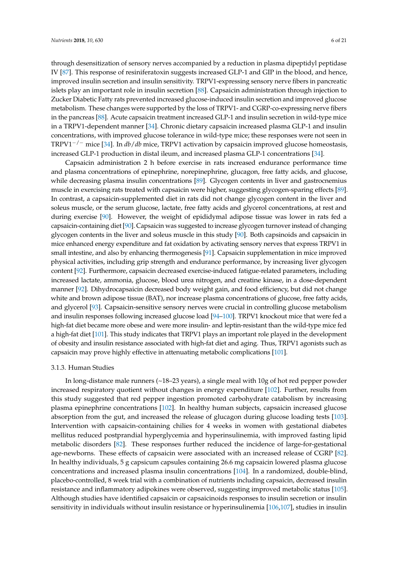through desensitization of sensory nerves accompanied by a reduction in plasma dipeptidyl peptidase IV [\[87\]](#page-16-3). This response of resiniferatoxin suggests increased GLP-1 and GIP in the blood, and hence, improved insulin secretion and insulin sensitivity. TRPV1-expressing sensory nerve fibers in pancreatic islets play an important role in insulin secretion [\[88\]](#page-16-4). Capsaicin administration through injection to Zucker Diabetic Fatty rats prevented increased glucose-induced insulin secretion and improved glucose metabolism. These changes were supported by the loss of TRPV1- and CGRP-co-expressing nerve fibers in the pancreas [\[88\]](#page-16-4). Acute capsaicin treatment increased GLP-1 and insulin secretion in wild-type mice in a TRPV1-dependent manner [\[34\]](#page-13-6). Chronic dietary capsaicin increased plasma GLP-1 and insulin concentrations, with improved glucose tolerance in wild-type mice; these responses were not seen in TRPV1−/<sup>−</sup> mice [\[34\]](#page-13-6). In *db*/*db* mice, TRPV1 activation by capsaicin improved glucose homeostasis, increased GLP-1 production in distal ileum, and increased plasma GLP-1 concentrations [\[34\]](#page-13-6).

Capsaicin administration 2 h before exercise in rats increased endurance performance time and plasma concentrations of epinephrine, norepinephrine, glucagon, free fatty acids, and glucose, while decreasing plasma insulin concentrations [\[89\]](#page-16-5). Glycogen contents in liver and gastrocnemius muscle in exercising rats treated with capsaicin were higher, suggesting glycogen-sparing effects [\[89\]](#page-16-5). In contrast, a capsaicin-supplemented diet in rats did not change glycogen content in the liver and soleus muscle, or the serum glucose, lactate, free fatty acids and glycerol concentrations, at rest and during exercise [\[90\]](#page-16-6). However, the weight of epididymal adipose tissue was lower in rats fed a capsaicin-containing diet [\[90\]](#page-16-6). Capsaicin was suggested to increase glycogen turnover instead of changing glycogen contents in the liver and soleus muscle in this study [\[90\]](#page-16-6). Both capsinoids and capsaicin in mice enhanced energy expenditure and fat oxidation by activating sensory nerves that express TRPV1 in small intestine, and also by enhancing thermogenesis [\[91\]](#page-16-7). Capsaicin supplementation in mice improved physical activities, including grip strength and endurance performance, by increasing liver glycogen content [\[92\]](#page-16-8). Furthermore, capsaicin decreased exercise-induced fatigue-related parameters, including increased lactate, ammonia, glucose, blood urea nitrogen, and creatine kinase, in a dose-dependent manner [\[92\]](#page-16-8). Dihydrocapsaicin decreased body weight gain, and food efficiency, but did not change white and brown adipose tissue (BAT), nor increase plasma concentrations of glucose, free fatty acids, and glycerol [\[93\]](#page-16-9). Capsaicin-sensitive sensory nerves were crucial in controlling glucose metabolism and insulin responses following increased glucose load [\[94](#page-16-10)[–100\]](#page-16-11). TRPV1 knockout mice that were fed a high-fat diet became more obese and were more insulin- and leptin-resistant than the wild-type mice fed a high-fat diet [\[101\]](#page-17-0). This study indicates that TRPV1 plays an important role played in the development of obesity and insulin resistance associated with high-fat diet and aging. Thus, TRPV1 agonists such as capsaicin may prove highly effective in attenuating metabolic complications [\[101\]](#page-17-0).

#### 3.1.3. Human Studies

In long-distance male runners (~18–23 years), a single meal with 10g of hot red pepper powder increased respiratory quotient without changes in energy expenditure [\[102\]](#page-17-1). Further, results from this study suggested that red pepper ingestion promoted carbohydrate catabolism by increasing plasma epinephrine concentrations [\[102\]](#page-17-1). In healthy human subjects, capsaicin increased glucose absorption from the gut, and increased the release of glucagon during glucose loading tests [\[103\]](#page-17-2). Intervention with capsaicin-containing chilies for 4 weeks in women with gestational diabetes mellitus reduced postprandial hyperglycemia and hyperinsulinemia, with improved fasting lipid metabolic disorders [\[82\]](#page-15-17). These responses further reduced the incidence of large-for-gestational age-newborns. These effects of capsaicin were associated with an increased release of CGRP [\[82\]](#page-15-17). In healthy individuals, 5 g capsicum capsules containing 26.6 mg capsaicin lowered plasma glucose concentrations and increased plasma insulin concentrations [\[104\]](#page-17-3). In a randomized, double-blind, placebo-controlled, 8 week trial with a combination of nutrients including capsaicin, decreased insulin resistance and inflammatory adipokines were observed, suggesting improved metabolic status [\[105\]](#page-17-4). Although studies have identified capsaicin or capsaicinoids responses to insulin secretion or insulin sensitivity in individuals without insulin resistance or hyperinsulinemia [\[106](#page-17-5)[,107\]](#page-17-6), studies in insulin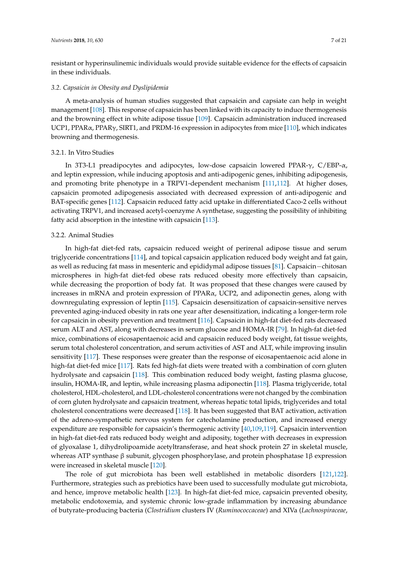resistant or hyperinsulinemic individuals would provide suitable evidence for the effects of capsaicin in these individuals.

#### *3.2. Capsaicin in Obesity and Dyslipidemia*

A meta-analysis of human studies suggested that capsaicin and capsiate can help in weight management [\[108\]](#page-17-7). This response of capsaicin has been linked with its capacity to induce thermogenesis and the browning effect in white adipose tissue [\[109\]](#page-17-8). Capsaicin administration induced increased UCP1, PPARα, PPARγ, SIRT1, and PRDM-16 expression in adipocytes from mice [\[110\]](#page-17-9), which indicates browning and thermogenesis.

#### 3.2.1. In Vitro Studies

In 3T3-L1 preadipocytes and adipocytes, low-dose capsaicin lowered PPAR-γ, C/EBP-α, and leptin expression, while inducing apoptosis and anti-adipogenic genes, inhibiting adipogenesis, and promoting brite phenotype in a TRPV1-dependent mechanism [\[111](#page-17-10)[,112\]](#page-17-11). At higher doses, capsaicin promoted adipogenesis associated with decreased expression of anti-adipogenic and BAT-specific genes [\[112\]](#page-17-11). Capsaicin reduced fatty acid uptake in differentiated Caco-2 cells without activating TRPV1, and increased acetyl-coenzyme A synthetase, suggesting the possibility of inhibiting fatty acid absorption in the intestine with capsaicin [\[113\]](#page-17-12).

#### 3.2.2. Animal Studies

In high-fat diet-fed rats, capsaicin reduced weight of perirenal adipose tissue and serum triglyceride concentrations [\[114\]](#page-17-13), and topical capsaicin application reduced body weight and fat gain, as well as reducing fat mass in mesenteric and epididymal adipose tissues [\[81\]](#page-15-16). Capsaicin−chitosan microspheres in high-fat diet-fed obese rats reduced obesity more effectively than capsaicin, while decreasing the proportion of body fat. It was proposed that these changes were caused by increases in mRNA and protein expression of PPARα, UCP2, and adiponectin genes, along with downregulating expression of leptin [\[115\]](#page-17-14). Capsaicin desensitization of capsaicin-sensitive nerves prevented aging-induced obesity in rats one year after desensitization, indicating a longer-term role for capsaicin in obesity prevention and treatment [\[116\]](#page-17-15). Capsaicin in high-fat diet-fed rats decreased serum ALT and AST, along with decreases in serum glucose and HOMA-IR [\[79\]](#page-15-14). In high-fat diet-fed mice, combinations of eicosapentaenoic acid and capsaicin reduced body weight, fat tissue weights, serum total cholesterol concentration, and serum activities of AST and ALT, while improving insulin sensitivity [\[117\]](#page-17-16). These responses were greater than the response of eicosapentaenoic acid alone in high-fat diet-fed mice [\[117\]](#page-17-16). Rats fed high-fat diets were treated with a combination of corn gluten hydrolysate and capsaicin [\[118\]](#page-17-17). This combination reduced body weight, fasting plasma glucose, insulin, HOMA-IR, and leptin, while increasing plasma adiponectin [\[118\]](#page-17-17). Plasma triglyceride, total cholesterol, HDL-cholesterol, and LDL-cholesterol concentrations were not changed by the combination of corn gluten hydrolysate and capsaicin treatment, whereas hepatic total lipids, triglycerides and total cholesterol concentrations were decreased [\[118\]](#page-17-17). It has been suggested that BAT activation, activation of the adreno-sympathetic nervous system for catecholamine production, and increased energy expenditure are responsible for capsaicin's thermogenic activity [\[40](#page-13-13)[,109](#page-17-8)[,119\]](#page-17-18). Capsaicin intervention in high-fat diet-fed rats reduced body weight and adiposity, together with decreases in expression of glyoxalase 1, dihydrolipoamide acetyltransferase, and heat shock protein 27 in skeletal muscle, whereas ATP synthase β subunit, glycogen phosphorylase, and protein phosphatase 1β expression were increased in skeletal muscle [\[120\]](#page-17-19).

The role of gut microbiota has been well established in metabolic disorders [\[121,](#page-18-0)[122\]](#page-18-1). Furthermore, strategies such as prebiotics have been used to successfully modulate gut microbiota, and hence, improve metabolic health [\[123\]](#page-18-2). In high-fat diet-fed mice, capsaicin prevented obesity, metabolic endotoxemia, and systemic chronic low-grade inflammation by increasing abundance of butyrate-producing bacteria (*Clostridium* clusters IV (*Ruminococcaceae*) and XIVa (*Lachnospiraceae*,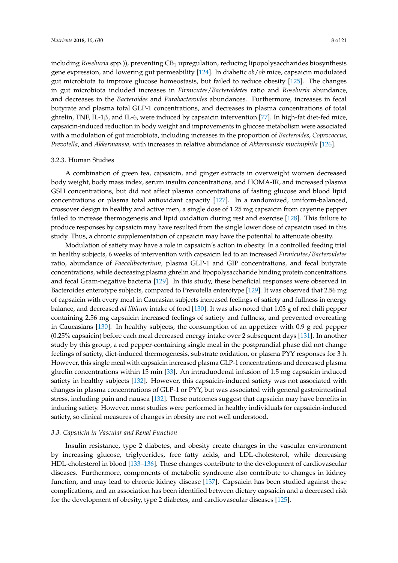including *Roseburia* spp.)), preventing CB<sub>1</sub> upregulation, reducing lipopolysaccharides biosynthesis gene expression, and lowering gut permeability [\[124\]](#page-18-3). In diabetic *ob*/*ob* mice, capsaicin modulated gut microbiota to improve glucose homeostasis, but failed to reduce obesity [\[125\]](#page-18-4). The changes in gut microbiota included increases in *Firmicutes*/*Bacteroidetes* ratio and *Roseburia* abundance, and decreases in the *Bacteroides* and *Parabacteroides* abundances. Furthermore, increases in fecal butyrate and plasma total GLP-1 concentrations, and decreases in plasma concentrations of total ghrelin, TNF, IL-1β, and IL-6, were induced by capsaicin intervention [\[77\]](#page-15-12). In high-fat diet-fed mice, capsaicin-induced reduction in body weight and improvements in glucose metabolism were associated with a modulation of gut microbiota, including increases in the proportion of *Bacteroides*, *Coprococcus*, *Prevotella*, and *Akkermansia,* with increases in relative abundance of *Akkermansia muciniphila* [\[126\]](#page-18-5).

#### 3.2.3. Human Studies

A combination of green tea, capsaicin, and ginger extracts in overweight women decreased body weight, body mass index, serum insulin concentrations, and HOMA-IR, and increased plasma GSH concentrations, but did not affect plasma concentrations of fasting glucose and blood lipid concentrations or plasma total antioxidant capacity [\[127\]](#page-18-6). In a randomized, uniform-balanced, crossover design in healthy and active men, a single dose of 1.25 mg capsaicin from cayenne pepper failed to increase thermogenesis and lipid oxidation during rest and exercise [\[128\]](#page-18-7). This failure to produce responses by capsaicin may have resulted from the single lower dose of capsaicin used in this study. Thus, a chronic supplementation of capsaicin may have the potential to attenuate obesity.

Modulation of satiety may have a role in capsaicin's action in obesity. In a controlled feeding trial in healthy subjects, 6 weeks of intervention with capsaicin led to an increased *Firmicutes*/*Bacteroidetes* ratio, abundance of *Faecalibacterium*, plasma GLP-1 and GIP concentrations, and fecal butyrate concentrations, while decreasing plasma ghrelin and lipopolysaccharide binding protein concentrations and fecal Gram-negative bacteria [\[129\]](#page-18-8). In this study, these beneficial responses were observed in Bacteroides enterotype subjects, compared to Prevotella enterotype [\[129\]](#page-18-8). It was observed that 2.56 mg of capsaicin with every meal in Caucasian subjects increased feelings of satiety and fullness in energy balance, and decreased *ad libitum* intake of food [\[130\]](#page-18-9). It was also noted that 1.03 g of red chili pepper containing 2.56 mg capsaicin increased feelings of satiety and fullness, and prevented overeating in Caucasians [\[130\]](#page-18-9). In healthy subjects, the consumption of an appetizer with 0.9 g red pepper (0.25% capsaicin) before each meal decreased energy intake over 2 subsequent days [\[131\]](#page-18-10). In another study by this group, a red pepper-containing single meal in the postprandial phase did not change feelings of satiety, diet-induced thermogenesis, substrate oxidation, or plasma PYY responses for 3 h. However, this single meal with capsaicin increased plasma GLP-1 concentrations and decreased plasma ghrelin concentrations within 15 min [\[33\]](#page-13-5). An intraduodenal infusion of 1.5 mg capsaicin induced satiety in healthy subjects [\[132\]](#page-18-11). However, this capsaicin-induced satiety was not associated with changes in plasma concentrations of GLP-1 or PYY, but was associated with general gastrointestinal stress, including pain and nausea [\[132\]](#page-18-11). These outcomes suggest that capsaicin may have benefits in inducing satiety. However, most studies were performed in healthy individuals for capsaicin-induced satiety, so clinical measures of changes in obesity are not well understood.

#### *3.3. Capsaicin in Vascular and Renal Function*

Insulin resistance, type 2 diabetes, and obesity create changes in the vascular environment by increasing glucose, triglycerides, free fatty acids, and LDL-cholesterol, while decreasing HDL-cholesterol in blood [\[133](#page-18-12)[–136\]](#page-18-13). These changes contribute to the development of cardiovascular diseases. Furthermore, components of metabolic syndrome also contribute to changes in kidney function, and may lead to chronic kidney disease [\[137\]](#page-18-14). Capsaicin has been studied against these complications, and an association has been identified between dietary capsaicin and a decreased risk for the development of obesity, type 2 diabetes, and cardiovascular diseases [\[125\]](#page-18-4).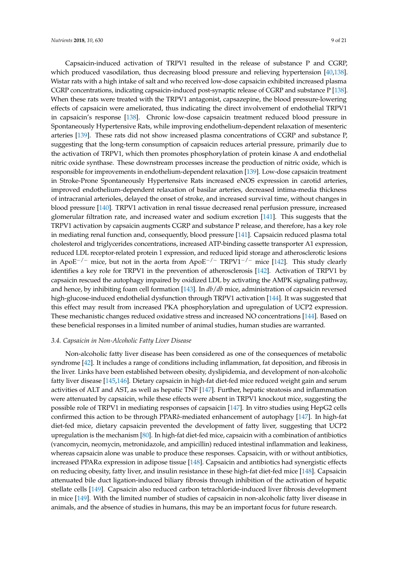Capsaicin-induced activation of TRPV1 resulted in the release of substance P and CGRP, which produced vasodilation, thus decreasing blood pressure and relieving hypertension [\[40,](#page-13-13)[138\]](#page-18-15). Wistar rats with a high intake of salt and who received low-dose capsaicin exhibited increased plasma CGRP concentrations, indicating capsaicin-induced post-synaptic release of CGRP and substance P [\[138\]](#page-18-15). When these rats were treated with the TRPV1 antagonist, capsazepine, the blood pressure-lowering effects of capsaicin were ameliorated, thus indicating the direct involvement of endothelial TRPV1 in capsaicin's response [\[138\]](#page-18-15). Chronic low-dose capsaicin treatment reduced blood pressure in Spontaneously Hypertensive Rats, while improving endothelium-dependent relaxation of mesenteric arteries [\[139\]](#page-18-16). These rats did not show increased plasma concentrations of CGRP and substance P, suggesting that the long-term consumption of capsaicin reduces arterial pressure, primarily due to the activation of TRPV1, which then promotes phosphorylation of protein kinase A and endothelial nitric oxide synthase. These downstream processes increase the production of nitric oxide, which is responsible for improvements in endothelium-dependent relaxation [\[139\]](#page-18-16). Low-dose capsaicin treatment in Stroke-Prone Spontaneously Hypertensive Rats increased eNOS expression in carotid arteries, improved endothelium-dependent relaxation of basilar arteries, decreased intima-media thickness of intracranial arterioles, delayed the onset of stroke, and increased survival time, without changes in blood pressure [\[140\]](#page-18-17). TRPV1 activation in renal tissue decreased renal perfusion pressure, increased glomerular filtration rate, and increased water and sodium excretion [\[141\]](#page-18-18). This suggests that the TRPV1 activation by capsaicin augments CGRP and substance P release, and therefore, has a key role in mediating renal function and, consequently, blood pressure [\[141\]](#page-18-18). Capsaicin reduced plasma total cholesterol and triglycerides concentrations, increased ATP-binding cassette transporter A1 expression, reduced LDL receptor-related protein 1 expression, and reduced lipid storage and atherosclerotic lesions in ApoE<sup>-/-</sup> mice, but not in the aorta from ApoE<sup>-/-</sup> TRPV1<sup>-/-</sup> mice [\[142\]](#page-19-0). This study clearly identifies a key role for TRPV1 in the prevention of atherosclerosis [\[142\]](#page-19-0). Activation of TRPV1 by capsaicin rescued the autophagy impaired by oxidized LDL by activating the AMPK signaling pathway, and hence, by inhibiting foam cell formation [\[143\]](#page-19-1). In *db*/*db* mice, administration of capsaicin reversed high-glucose-induced endothelial dysfunction through TRPV1 activation [\[144\]](#page-19-2). It was suggested that this effect may result from increased PKA phosphorylation and upregulation of UCP2 expression. These mechanistic changes reduced oxidative stress and increased NO concentrations [\[144\]](#page-19-2). Based on these beneficial responses in a limited number of animal studies, human studies are warranted.

#### *3.4. Capsaicin in Non-Alcoholic Fatty Liver Disease*

Non-alcoholic fatty liver disease has been considered as one of the consequences of metabolic syndrome [\[42\]](#page-13-15). It includes a range of conditions including inflammation, fat deposition, and fibrosis in the liver. Links have been established between obesity, dyslipidemia, and development of non-alcoholic fatty liver disease [\[145,](#page-19-3)[146\]](#page-19-4). Dietary capsaicin in high-fat diet-fed mice reduced weight gain and serum activities of ALT and AST, as well as hepatic TNF [\[147\]](#page-19-5). Further, hepatic steatosis and inflammation were attenuated by capsaicin, while these effects were absent in TRPV1 knockout mice, suggesting the possible role of TRPV1 in mediating responses of capsaicin [\[147\]](#page-19-5). In vitro studies using HepG2 cells confirmed this action to be through PPARδ-mediated enhancement of autophagy [\[147\]](#page-19-5). In high-fat diet-fed mice, dietary capsaicin prevented the development of fatty liver, suggesting that UCP2 upregulation is the mechanism [\[80\]](#page-15-15). In high-fat diet-fed mice, capsaicin with a combination of antibiotics (vancomycin, neomycin, metronidazole, and ampicillin) reduced intestinal inflammation and leakiness, whereas capsaicin alone was unable to produce these responses. Capsaicin, with or without antibiotics, increased PPAR $\alpha$  expression in adipose tissue [\[148\]](#page-19-6). Capsaicin and antibiotics had synergistic effects on reducing obesity, fatty liver, and insulin resistance in these high-fat diet-fed mice [\[148\]](#page-19-6). Capsaicin attenuated bile duct ligation-induced biliary fibrosis through inhibition of the activation of hepatic stellate cells [\[149\]](#page-19-7). Capsaicin also reduced carbon tetrachloride-induced liver fibrosis development in mice [\[149\]](#page-19-7). With the limited number of studies of capsaicin in non-alcoholic fatty liver disease in animals, and the absence of studies in humans, this may be an important focus for future research.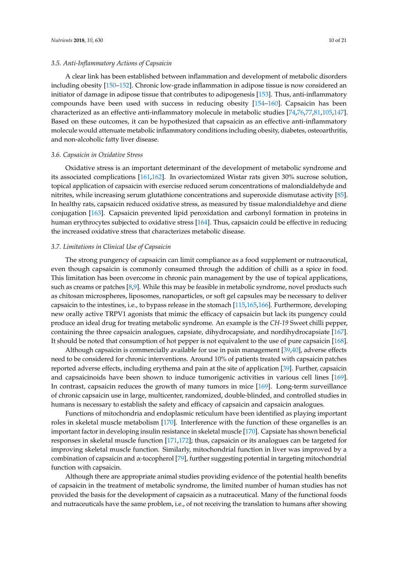#### *3.5. Anti-Inflammatory Actions of Capsaicin*

A clear link has been established between inflammation and development of metabolic disorders including obesity [\[150–](#page-19-8)[152\]](#page-19-9). Chronic low-grade inflammation in adipose tissue is now considered an initiator of damage in adipose tissue that contributes to adipogenesis [\[153\]](#page-19-10). Thus, anti-inflammatory compounds have been used with success in reducing obesity [\[154–](#page-19-11)[160\]](#page-19-12). Capsaicin has been characterized as an effective anti-inflammatory molecule in metabolic studies [\[74,](#page-15-9)[76,](#page-15-11)[77,](#page-15-12)[81,](#page-15-16)[105,](#page-17-4)[147\]](#page-19-5). Based on these outcomes, it can be hypothesized that capsaicin as an effective anti-inflammatory molecule would attenuate metabolic inflammatory conditions including obesity, diabetes, osteoarthritis, and non-alcoholic fatty liver disease.

#### *3.6. Capsaicin in Oxidative Stress*

Oxidative stress is an important determinant of the development of metabolic syndrome and its associated complications [\[161,](#page-19-13)[162\]](#page-19-14). In ovariectomized Wistar rats given 30% sucrose solution, topical application of capsaicin with exercise reduced serum concentrations of malondialdehyde and nitrites, while increasing serum glutathione concentrations and superoxide dismutase activity [\[85\]](#page-16-1). In healthy rats, capsaicin reduced oxidative stress, as measured by tissue malondialdehye and diene conjugation [\[163\]](#page-20-0). Capsaicin prevented lipid peroxidation and carbonyl formation in proteins in human erythrocytes subjected to oxidative stress [\[164\]](#page-20-1). Thus, capsaicin could be effective in reducing the increased oxidative stress that characterizes metabolic disease.

#### *3.7. Limitations in Clinical Use of Capsaicin*

The strong pungency of capsaicin can limit compliance as a food supplement or nutraceutical, even though capsaicin is commonly consumed through the addition of chilli as a spice in food. This limitation has been overcome in chronic pain management by the use of topical applications, such as creams or patches [\[8](#page-12-7)[,9\]](#page-12-8). While this may be feasible in metabolic syndrome, novel products such as chitosan microspheres, liposomes, nanoparticles, or soft gel capsules may be necessary to deliver capsaicin to the intestines, i.e., to bypass release in the stomach [\[115,](#page-17-14)[165,](#page-20-2)[166\]](#page-20-3). Furthermore, developing new orally active TRPV1 agonists that mimic the efficacy of capsaicin but lack its pungency could produce an ideal drug for treating metabolic syndrome. An example is the *CH-19* Sweet chilli pepper, containing the three capsaicin analogues, capsiate, dihydrocapsiate, and nordihydrocapsiate [\[167\]](#page-20-4). It should be noted that consumption of hot pepper is not equivalent to the use of pure capsaicin [\[168\]](#page-20-5).

Although capsaicin is commercially available for use in pain management [\[39,](#page-13-12)[40\]](#page-13-13), adverse effects need to be considered for chronic interventions. Around 10% of patients treated with capsaicin patches reported adverse effects, including erythema and pain at the site of application [\[39\]](#page-13-12). Further, capsaicin and capsaicinoids have been shown to induce tumorigenic activities in various cell lines [\[169\]](#page-20-6). In contrast, capsaicin reduces the growth of many tumors in mice [\[169\]](#page-20-6). Long-term surveillance of chronic capsaicin use in large, multicenter, randomized, double-blinded, and controlled studies in humans is necessary to establish the safety and efficacy of capsaicin and capsaicin analogues.

Functions of mitochondria and endoplasmic reticulum have been identified as playing important roles in skeletal muscle metabolism [\[170\]](#page-20-7). Interference with the function of these organelles is an important factor in developing insulin resistance in skeletal muscle [\[170\]](#page-20-7). Capsiate has shown beneficial responses in skeletal muscle function [\[171,](#page-20-8)[172\]](#page-20-9); thus, capsaicin or its analogues can be targeted for improving skeletal muscle function. Similarly, mitochondrial function in liver was improved by a combination of capsaicin and  $\alpha$ -tocopherol [\[79\]](#page-15-14), further suggesting potential in targeting mitochondrial function with capsaicin.

Although there are appropriate animal studies providing evidence of the potential health benefits of capsaicin in the treatment of metabolic syndrome, the limited number of human studies has not provided the basis for the development of capsaicin as a nutraceutical. Many of the functional foods and nutraceuticals have the same problem, i.e., of not receiving the translation to humans after showing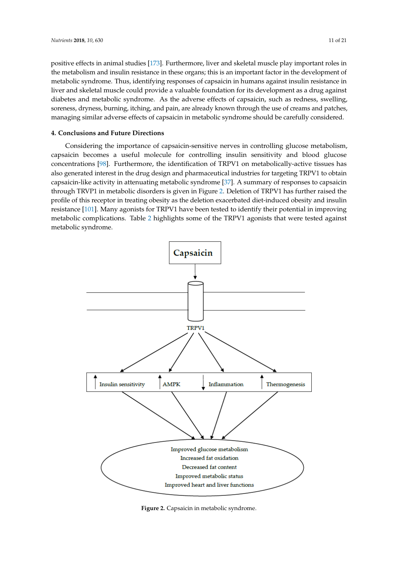positive effects in animal studies [\[173\]](#page-20-10). Furthermore, liver and skeletal muscle play important roles in the metabolism and insulin resistance in these organs; this is an important factor in the development of metabolic syndrome. Thus, identifying responses of capsaicin in humans against insulin resistance in liver and skeletal muscle could provide a valuable foundation for its development as a drug against diabetes and metabolic syndrome. As the adverse effects of capsaicin, such as redness, swelling, soreness, dryness, burning, itching, and pain, are already known through the use of creams and patches, managing similar adverse effects of capsaicin in metabolic syndrome should be carefully considered.

#### **4. Conclusions and Future Directions** *Nutrients* **2018**, *10*, x FOR PEER REVIEW 11 of 21

Considering the importance of capsaicin-sensitive nerves in controlling glucose metabolism, capsaicin becomes a useful molecule for controlling insulin sensitivity and blood glucose concentrations  $[98]$ . Furthermore, the identification of TRPV1 on metabolically-active tissues has also generated interest in the drug design and pharmaceutical industries for targeting TRPV1 to obtain capsaicin-like activity in attenuating metabolic syndrome [\[37\]](#page-13-9). A summary of responses to capsaicin through TRVP1 in metabolic disorders is given in Figure 2. Deletion of TRPV1 has further raised the profile of this receptor in treating obesity as the deletion exacerbated diet-induced obesity and insulin resistance [\[101\]](#page-17-0). Many agonists for TRPV1 have been tested to identify their potential in improving metabolic complications. Table [2](#page-11-0) highlights some of the TRPV1 agonists that were tested against metabolic syndrome. metabolic syndrome. one complications. Table 2 highlights some of the TRPV1 agonists that were tested a

<span id="page-10-0"></span>

**Figure 2. Figure 2.** Capsaicin in metabolic syndrome. Capsaicin in metabolic syndrome.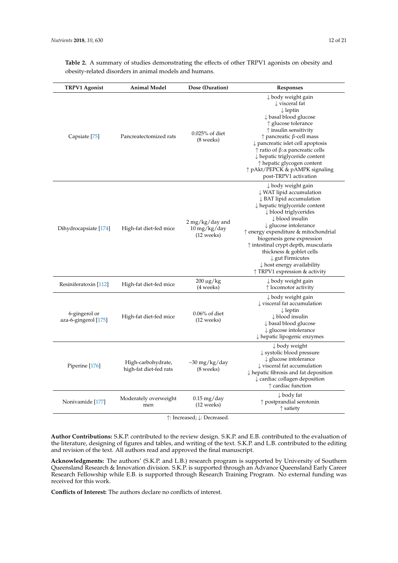| <b>TRPV1</b> Agonist                  | Animal Model                                 | Dose (Duration)                                                                             | <b>Responses</b>                                                                                                                                                                                                                                                                                                                                                                                                                                                                            |
|---------------------------------------|----------------------------------------------|---------------------------------------------------------------------------------------------|---------------------------------------------------------------------------------------------------------------------------------------------------------------------------------------------------------------------------------------------------------------------------------------------------------------------------------------------------------------------------------------------------------------------------------------------------------------------------------------------|
| Capsiate [75]                         | Pancreatectomized rats                       | $0.025%$ of diet<br>(8 weeks)                                                               | $\downarrow$ body weight gain<br>$\downarrow$ visceral fat<br>$\downarrow$ leptin<br>↓ basal blood glucose<br>↑ glucose tolerance<br>$\uparrow$ insulin sensitivity<br>$\uparrow$ pancreatic $\upbeta$ -cell mass<br>pancreatic islet cell apoptosis<br>$\uparrow$ ratio of $\beta$ : $\alpha$ pancreatic cells<br>↓ hepatic triglyceride content<br>$\uparrow$ hepatic glycogen content<br>↑ pAkt/PEPCK & pAMPK signaling<br>post-TRPV1 activation                                         |
| Dihydrocapsiate [174]                 | High-fat diet-fed mice                       | $2 \,\mathrm{mg/kg}/\mathrm{day}$ and<br>$10 \,\mathrm{mg/kg}/\mathrm{day}$<br>$(12$ weeks) | $\downarrow$ body weight gain<br>↓ WAT lipid accumulation<br>$\downarrow$ BAT lipid accumulation<br>$\downarrow$ hepatic triglyceride content<br>↓ blood triglycerides<br>$\downarrow$ blood insulin<br>$\downarrow$ glucose intolerance<br>↑ energy expenditure & mitochondrial<br>biogenesis gene expression<br>↑ intestinal crypt depth, muscularis<br>thickness & goblet cells<br>$\downarrow$ gut Firmicutes<br>$\downarrow$ host energy availability<br>↑ TRPV1 expression & activity |
| Resiniferatoxin [112]                 | High-fat diet-fed mice                       | $200 \mu g/kg$<br>(4 weeks)                                                                 | $\downarrow$ body weight gain<br>$\uparrow$ locomotor activity                                                                                                                                                                                                                                                                                                                                                                                                                              |
| 6-gingerol or<br>aza-6-gingerol [175] | High-fat diet-fed mice                       | $0.06\%$ of diet<br>$(12 \text{ weeks})$                                                    | $\downarrow$ body weight gain<br>↓ visceral fat accumulation<br>$\downarrow$ leptin<br>$\downarrow$ blood insulin<br>↓ basal blood glucose<br>$\downarrow$ glucose intolerance<br>$\downarrow$ hepatic lipogenic enzymes                                                                                                                                                                                                                                                                    |
| Piperine [176]                        | High-carbohydrate,<br>high-fat diet-fed rats | $\sim$ 30 mg/kg/day<br>(8 weeks)                                                            | ↓ body weight<br>↓ systolic blood pressure<br>↓ glucose intolerance<br>$\downarrow$ visceral fat accumulation<br>$\downarrow$ hepatic fibrosis and fat deposition<br>$\downarrow$ cardiac collagen deposition<br>$\uparrow$ cardiac function                                                                                                                                                                                                                                                |
| Nonivamide [177]                      | Moderately overweight<br>men                 | $0.15 \,\mathrm{mg}/\mathrm{day}$<br>$(12 \text{ weeks})$                                   | $\downarrow$ body fat<br>$\uparrow$ postprandial serotonin<br>↑ satiety                                                                                                                                                                                                                                                                                                                                                                                                                     |

<span id="page-11-0"></span>**Table 2.** A summary of studies demonstrating the effects of other TRPV1 agonists on obesity and obesity-related disorders in animal models and humans.

↑: Increased; ↓: Decreased.

**Author Contributions:** S.K.P. contributed to the review design. S.K.P. and E.B. contributed to the evaluation of the literature, designing of figures and tables, and writing of the text. S.K.P. and L.B. contributed to the editing and revision of the text. All authors read and approved the final manuscript.

**Acknowledgments:** The authors' (S.K.P. and L.B.) research program is supported by University of Southern Queensland Research & Innovation division. S.K.P. is supported through an Advance Queensland Early Career Research Fellowship while E.B. is supported through Research Training Program. No external funding was received for this work.

**Conflicts of Interest:** The authors declare no conflicts of interest.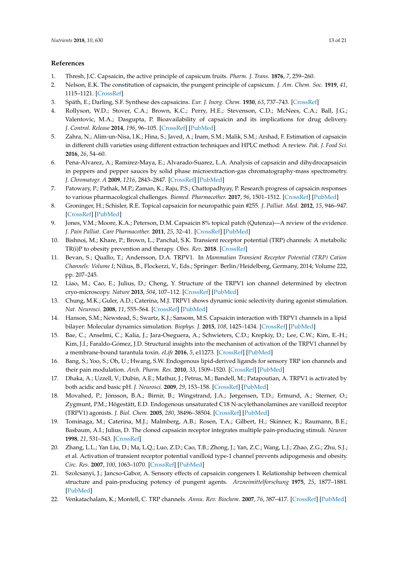### **References**

- <span id="page-12-0"></span>1. Thresh, J.C. Capsaicin, the active principle of capsicum fruits. *Pharm. J. Trans.* **1876**, *7*, 259–260.
- <span id="page-12-1"></span>2. Nelson, E.K. The constitution of capsaicin, the pungent principle of capsicum. *J. Am. Chem. Soc.* **1919**, *41*, 1115–1121. [\[CrossRef\]](http://dx.doi.org/10.1021/ja02228a011)
- <span id="page-12-2"></span>3. Späth, E.; Darling, S.F. Synthese des capsaicins. *Eur. J. Inorg. Chem.* **1930**, *63*, 737–743. [\[CrossRef\]](http://dx.doi.org/10.1002/cber.19300630331)
- <span id="page-12-3"></span>4. Rollyson, W.D.; Stover, C.A.; Brown, K.C.; Perry, H.E.; Stevenson, C.D.; McNees, C.A.; Ball, J.G.; Valentovic, M.A.; Dasgupta, P. Bioavailability of capsaicin and its implications for drug delivery. *J. Control. Release* **2014**, *196*, 96–105. [\[CrossRef\]](http://dx.doi.org/10.1016/j.jconrel.2014.09.027) [\[PubMed\]](http://www.ncbi.nlm.nih.gov/pubmed/25307998)
- <span id="page-12-4"></span>5. Zahra, N.; Alim-un-Nisa, I.K.; Hina, S.; Javed, A.; Inam, S.M.; Malik, S.M.; Arshad, F. Estimation of capsaicin in different chilli varieties using different extraction techniques and HPLC method: A review. *Pak. J. Food Sci.* **2016**, *26*, 54–60.
- <span id="page-12-5"></span>6. Pena-Alvarez, A.; Ramirez-Maya, E.; Alvarado-Suarez, L.A. Analysis of capsaicin and dihydrocapsaicin in peppers and pepper sauces by solid phase microextraction-gas chromatography-mass spectrometry. *J. Chromatogr. A* **2009**, *1216*, 2843–2847. [\[CrossRef\]](http://dx.doi.org/10.1016/j.chroma.2008.10.053) [\[PubMed\]](http://www.ncbi.nlm.nih.gov/pubmed/19100557)
- <span id="page-12-6"></span>7. Patowary, P.; Pathak, M.P.; Zaman, K.; Raju, P.S.; Chattopadhyay, P. Research progress of capsaicin responses to various pharmacological challenges. *Biomed. Pharmacother.* **2017**, *96*, 1501–1512. [\[CrossRef\]](http://dx.doi.org/10.1016/j.biopha.2017.11.124) [\[PubMed\]](http://www.ncbi.nlm.nih.gov/pubmed/29198921)
- <span id="page-12-7"></span>8. Groninger, H.; Schisler, R.E. Topical capsaicin for neuropathic pain #255. *J. Palliat. Med.* **2012**, *15*, 946–947. [\[CrossRef\]](http://dx.doi.org/10.1089/jpm.2012.9571) [\[PubMed\]](http://www.ncbi.nlm.nih.gov/pubmed/22849599)
- <span id="page-12-8"></span>9. Jones, V.M.; Moore, K.A.; Peterson, D.M. Capsaicin 8% topical patch (Qutenza)—A review of the evidence. *J. Pain Palliat. Care Pharmacother.* **2011**, *25*, 32–41. [\[CrossRef\]](http://dx.doi.org/10.3109/15360288.2010.547561) [\[PubMed\]](http://www.ncbi.nlm.nih.gov/pubmed/21426216)
- <span id="page-12-9"></span>10. Bishnoi, M.; Khare, P.; Brown, L.; Panchal, S.K. Transient receptor potential (TRP) channels: A metabolic TR(i)P to obesity prevention and therapy. *Obes. Rev.* **2018**. [\[CrossRef\]](http://dx.doi.org/10.1111/obr.12703)
- <span id="page-12-10"></span>11. Bevan, S.; Quallo, T.; Andersson, D.A. TRPV1. In *Mammalian Transient Receptor Potential (TRP) Cation Channels: Volume I*; Nilius, B., Flockerzi, V., Eds.; Springer: Berlin/Heidelberg, Germany, 2014; Volume 222, pp. 207–245.
- <span id="page-12-11"></span>12. Liao, M.; Cao, E.; Julius, D.; Cheng, Y. Structure of the TRPV1 ion channel determined by electron cryo-microscopy. *Nature* **2013**, *504*, 107–112. [\[CrossRef\]](http://dx.doi.org/10.1038/nature12822) [\[PubMed\]](http://www.ncbi.nlm.nih.gov/pubmed/24305160)
- <span id="page-12-12"></span>13. Chung, M.K.; Guler, A.D.; Caterina, M.J. TRPV1 shows dynamic ionic selectivity during agonist stimulation. *Nat. Neurosci.* **2008**, *11*, 555–564. [\[CrossRef\]](http://dx.doi.org/10.1038/nn.2102) [\[PubMed\]](http://www.ncbi.nlm.nih.gov/pubmed/18391945)
- <span id="page-12-13"></span>14. Hanson, S.M.; Newstead, S.; Swartz, K.J.; Sansom, M.S. Capsaicin interaction with TRPV1 channels in a lipid bilayer: Molecular dynamics simulation. *Biophys. J.* **2015**, *108*, 1425–1434. [\[CrossRef\]](http://dx.doi.org/10.1016/j.bpj.2015.02.013) [\[PubMed\]](http://www.ncbi.nlm.nih.gov/pubmed/25809255)
- 15. Bae, C.; Anselmi, C.; Kalia, J.; Jara-Oseguera, A.; Schwieters, C.D.; Krepkiy, D.; Lee, C.W.; Kim, E.-H.; Kim, J.I.; Faraldo-Gómez, J.D. Structural insights into the mechanism of activation of the TRPV1 channel by a membrane-bound tarantula toxin. *eLife* **2016**, *5*, e11273. [\[CrossRef\]](http://dx.doi.org/10.7554/eLife.11273) [\[PubMed\]](http://www.ncbi.nlm.nih.gov/pubmed/26880553)
- 16. Bang, S.; Yoo, S.; Oh, U.; Hwang, S.W. Endogenous lipid-derived ligands for sensory TRP ion channels and their pain modulation. *Arch. Pharm. Res.* **2010**, *33*, 1509–1520. [\[CrossRef\]](http://dx.doi.org/10.1007/s12272-010-1004-9) [\[PubMed\]](http://www.ncbi.nlm.nih.gov/pubmed/21052930)
- 17. Dhaka, A.; Uzzell, V.; Dubin, A.E.; Mathur, J.; Petrus, M.; Bandell, M.; Patapoutian, A. TRPV1 is activated by both acidic and basic pH. *J. Neurosci.* **2009**, *29*, 153–158. [\[CrossRef\]](http://dx.doi.org/10.1523/JNEUROSCI.4901-08.2009) [\[PubMed\]](http://www.ncbi.nlm.nih.gov/pubmed/19129393)
- <span id="page-12-14"></span>18. Movahed, P.; Jönsson, B.A.; Birnir, B.; Wingstrand, J.A.; Jørgensen, T.D.; Ermund, A.; Sterner, O.; Zygmunt, P.M.; Högestätt, E.D. Endogenous unsaturated C18 N-acylethanolamines are vanilloid receptor (TRPV1) agonists. *J. Biol. Chem.* **2005**, *280*, 38496–38504. [\[CrossRef\]](http://dx.doi.org/10.1074/jbc.M507429200) [\[PubMed\]](http://www.ncbi.nlm.nih.gov/pubmed/16081411)
- <span id="page-12-15"></span>19. Tominaga, M.; Caterina, M.J.; Malmberg, A.B.; Rosen, T.A.; Gilbert, H.; Skinner, K.; Raumann, B.E.; Basbaum, A.I.; Julius, D. The cloned capsaicin receptor integrates multiple pain-producing stimuli. *Neuron* **1998**, *21*, 531–543. [\[CrossRef\]](http://dx.doi.org/10.1016/S0896-6273(00)80564-4)
- <span id="page-12-16"></span>20. Zhang, L.L.; Yan Liu, D.; Ma, L.Q.; Luo, Z.D.; Cao, T.B.; Zhong, J.; Yan, Z.C.; Wang, L.J.; Zhao, Z.G.; Zhu, S.J.; et al. Activation of transient receptor potential vanilloid type-1 channel prevents adipogenesis and obesity. *Circ. Res.* **2007**, *100*, 1063–1070. [\[CrossRef\]](http://dx.doi.org/10.1161/01.RES.0000262653.84850.8b) [\[PubMed\]](http://www.ncbi.nlm.nih.gov/pubmed/17347480)
- <span id="page-12-17"></span>21. Szolcsanyi, J.; Jancso-Gabor, A. Sensory effects of capsaicin congeners I. Relationship between chemical structure and pain-producing potency of pungent agents. *Arzneimittelforschung* **1975**, *25*, 1877–1881. [\[PubMed\]](http://www.ncbi.nlm.nih.gov/pubmed/1243658)
- <span id="page-12-18"></span>22. Venkatachalam, K.; Montell, C. TRP channels. *Annu. Rev. Biochem.* **2007**, *76*, 387–417. [\[CrossRef\]](http://dx.doi.org/10.1146/annurev.biochem.75.103004.142819) [\[PubMed\]](http://www.ncbi.nlm.nih.gov/pubmed/17579562)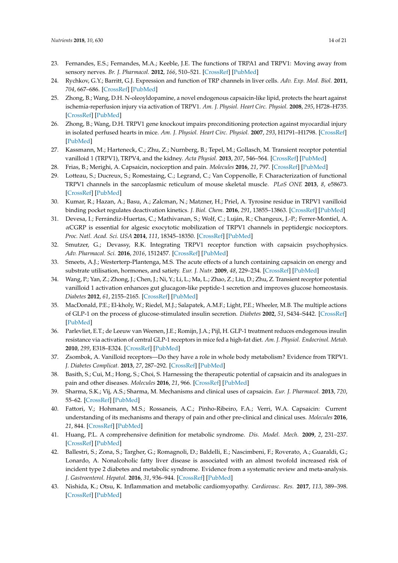- <span id="page-13-0"></span>23. Fernandes, E.S.; Fernandes, M.A.; Keeble, J.E. The functions of TRPA1 and TRPV1: Moving away from sensory nerves. *Br. J. Pharmacol.* **2012**, *166*, 510–521. [\[CrossRef\]](http://dx.doi.org/10.1111/j.1476-5381.2012.01851.x) [\[PubMed\]](http://www.ncbi.nlm.nih.gov/pubmed/22233379)
- 24. Rychkov, G.Y.; Barritt, G.J. Expression and function of TRP channels in liver cells. *Adv. Exp. Med. Biol.* **2011**, *704*, 667–686. [\[CrossRef\]](http://dx.doi.org/10.1007/978-94-007-0265-3_35) [\[PubMed\]](http://www.ncbi.nlm.nih.gov/pubmed/21290321)
- 25. Zhong, B.; Wang, D.H. N-oleoyldopamine, a novel endogenous capsaicin-like lipid, protects the heart against ischemia-reperfusion injury via activation of TRPV1. *Am. J. Physiol. Heart Circ. Physiol.* **2008**, *295*, H728–H735. [\[CrossRef\]](http://dx.doi.org/10.1152/ajpheart.00022.2008) [\[PubMed\]](http://www.ncbi.nlm.nih.gov/pubmed/18567714)
- 26. Zhong, B.; Wang, D.H. TRPV1 gene knockout impairs preconditioning protection against myocardial injury in isolated perfused hearts in mice. *Am. J. Physiol. Heart Circ. Physiol.* **2007**, *293*, H1791–H1798. [\[CrossRef\]](http://dx.doi.org/10.1152/ajpheart.00169.2007) [\[PubMed\]](http://www.ncbi.nlm.nih.gov/pubmed/17586621)
- 27. Kassmann, M.; Harteneck, C.; Zhu, Z.; Nurnberg, B.; Tepel, M.; Gollasch, M. Transient receptor potential vanilloid 1 (TRPV1), TRPV4, and the kidney. *Acta Physiol.* **2013**, *207*, 546–564. [\[CrossRef\]](http://dx.doi.org/10.1111/apha.12051) [\[PubMed\]](http://www.ncbi.nlm.nih.gov/pubmed/23253200)
- <span id="page-13-10"></span>28. Frias, B.; Merighi, A. Capsaicin, nociception and pain. *Molecules* **2016**, *21*, 797. [\[CrossRef\]](http://dx.doi.org/10.3390/molecules21060797) [\[PubMed\]](http://www.ncbi.nlm.nih.gov/pubmed/27322240)
- <span id="page-13-1"></span>29. Lotteau, S.; Ducreux, S.; Romestaing, C.; Legrand, C.; Van Coppenolle, F. Characterization of functional TRPV1 channels in the sarcoplasmic reticulum of mouse skeletal muscle. *PLoS ONE* **2013**, *8*, e58673. [\[CrossRef\]](http://dx.doi.org/10.1371/journal.pone.0058673) [\[PubMed\]](http://www.ncbi.nlm.nih.gov/pubmed/23536811)
- <span id="page-13-2"></span>30. Kumar, R.; Hazan, A.; Basu, A.; Zalcman, N.; Matzner, H.; Priel, A. Tyrosine residue in TRPV1 vanilloid binding pocket regulates deactivation kinetics. *J. Biol. Chem.* **2016**, *291*, 13855–13863. [\[CrossRef\]](http://dx.doi.org/10.1074/jbc.M116.726372) [\[PubMed\]](http://www.ncbi.nlm.nih.gov/pubmed/27143360)
- <span id="page-13-3"></span>31. Devesa, I.; Ferrándiz-Huertas, C.; Mathivanan, S.; Wolf, C.; Luján, R.; Changeux, J.-P.; Ferrer-Montiel, A. αCGRP is essential for algesic exocytotic mobilization of TRPV1 channels in peptidergic nociceptors. *Proc. Natl. Acad. Sci. USA* **2014**, *111*, 18345–18350. [\[CrossRef\]](http://dx.doi.org/10.1073/pnas.1420252111) [\[PubMed\]](http://www.ncbi.nlm.nih.gov/pubmed/25489075)
- <span id="page-13-4"></span>32. Smutzer, G.; Devassy, R.K. Integrating TRPV1 receptor function with capsaicin psychophysics. *Adv. Pharmacol. Sci.* **2016**, *2016*, 1512457. [\[CrossRef\]](http://dx.doi.org/10.1155/2016/1512457) [\[PubMed\]](http://www.ncbi.nlm.nih.gov/pubmed/26884754)
- <span id="page-13-5"></span>33. Smeets, A.J.; Westerterp-Plantenga, M.S. The acute effects of a lunch containing capsaicin on energy and substrate utilisation, hormones, and satiety. *Eur. J. Nutr.* **2009**, *48*, 229–234. [\[CrossRef\]](http://dx.doi.org/10.1007/s00394-009-0006-1) [\[PubMed\]](http://www.ncbi.nlm.nih.gov/pubmed/19238310)
- <span id="page-13-6"></span>34. Wang, P.; Yan, Z.; Zhong, J.; Chen, J.; Ni, Y.; Li, L.; Ma, L.; Zhao, Z.; Liu, D.; Zhu, Z. Transient receptor potential vanilloid 1 activation enhances gut glucagon-like peptide-1 secretion and improves glucose homeostasis. *Diabetes* **2012**, *61*, 2155–2165. [\[CrossRef\]](http://dx.doi.org/10.2337/db11-1503) [\[PubMed\]](http://www.ncbi.nlm.nih.gov/pubmed/22664955)
- <span id="page-13-7"></span>35. MacDonald, P.E.; El-kholy, W.; Riedel, M.J.; Salapatek, A.M.F.; Light, P.E.; Wheeler, M.B. The multiple actions of GLP-1 on the process of glucose-stimulated insulin secretion. *Diabetes* **2002**, *51*, S434–S442. [\[CrossRef\]](http://dx.doi.org/10.2337/diabetes.51.2007.S434) [\[PubMed\]](http://www.ncbi.nlm.nih.gov/pubmed/12475787)
- <span id="page-13-8"></span>36. Parlevliet, E.T.; de Leeuw van Weenen, J.E.; Romijn, J.A.; Pijl, H. GLP-1 treatment reduces endogenous insulin resistance via activation of central GLP-1 receptors in mice fed a high-fat diet. *Am. J. Physiol. Endocrinol. Metab.* **2010**, *299*, E318–E324. [\[CrossRef\]](http://dx.doi.org/10.1152/ajpendo.00191.2010) [\[PubMed\]](http://www.ncbi.nlm.nih.gov/pubmed/20530733)
- <span id="page-13-9"></span>37. Zsombok, A. Vanilloid receptors—Do they have a role in whole body metabolism? Evidence from TRPV1. *J. Diabetes Complicat.* **2013**, *27*, 287–292. [\[CrossRef\]](http://dx.doi.org/10.1016/j.jdiacomp.2012.11.006) [\[PubMed\]](http://www.ncbi.nlm.nih.gov/pubmed/23332888)
- <span id="page-13-11"></span>38. Basith, S.; Cui, M.; Hong, S.; Choi, S. Harnessing the therapeutic potential of capsaicin and its analogues in pain and other diseases. *Molecules* **2016**, *21*, 966. [\[CrossRef\]](http://dx.doi.org/10.3390/molecules21080966) [\[PubMed\]](http://www.ncbi.nlm.nih.gov/pubmed/27455231)
- <span id="page-13-12"></span>39. Sharma, S.K.; Vij, A.S.; Sharma, M. Mechanisms and clinical uses of capsaicin. *Eur. J. Pharmacol.* **2013**, *720*, 55–62. [\[CrossRef\]](http://dx.doi.org/10.1016/j.ejphar.2013.10.053) [\[PubMed\]](http://www.ncbi.nlm.nih.gov/pubmed/24211679)
- <span id="page-13-13"></span>40. Fattori, V.; Hohmann, M.S.; Rossaneis, A.C.; Pinho-Ribeiro, F.A.; Verri, W.A. Capsaicin: Current understanding of its mechanisms and therapy of pain and other pre-clinical and clinical uses. *Molecules* **2016**, *21*, 844. [\[CrossRef\]](http://dx.doi.org/10.3390/molecules21070844) [\[PubMed\]](http://www.ncbi.nlm.nih.gov/pubmed/27367653)
- <span id="page-13-14"></span>41. Huang, P.L. A comprehensive definition for metabolic syndrome. *Dis. Model. Mech.* **2009**, *2*, 231–237. [\[CrossRef\]](http://dx.doi.org/10.1242/dmm.001180) [\[PubMed\]](http://www.ncbi.nlm.nih.gov/pubmed/19407331)
- <span id="page-13-15"></span>42. Ballestri, S.; Zona, S.; Targher, G.; Romagnoli, D.; Baldelli, E.; Nascimbeni, F.; Roverato, A.; Guaraldi, G.; Lonardo, A. Nonalcoholic fatty liver disease is associated with an almost twofold increased risk of incident type 2 diabetes and metabolic syndrome. Evidence from a systematic review and meta-analysis. *J. Gastroenterol. Hepatol.* **2016**, *31*, 936–944. [\[CrossRef\]](http://dx.doi.org/10.1111/jgh.13264) [\[PubMed\]](http://www.ncbi.nlm.nih.gov/pubmed/26667191)
- <span id="page-13-16"></span>43. Nishida, K.; Otsu, K. Inflammation and metabolic cardiomyopathy. *Cardiovasc. Res.* **2017**, *113*, 389–398. [\[CrossRef\]](http://dx.doi.org/10.1093/cvr/cvx012) [\[PubMed\]](http://www.ncbi.nlm.nih.gov/pubmed/28395010)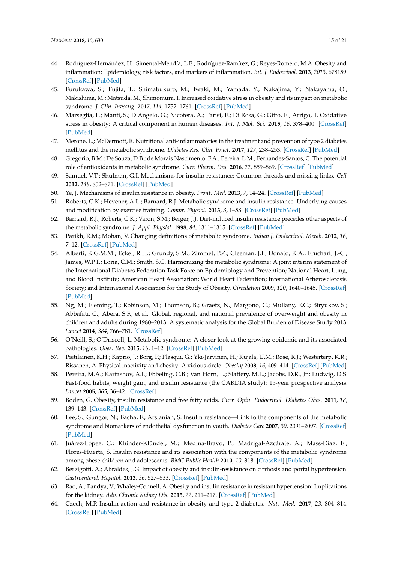- 44. Rodríguez-Hernández, H.; Simental-Mendía, L.E.; Rodríguez-Ramírez, G.; Reyes-Romero, M.A. Obesity and inflammation: Epidemiology, risk factors, and markers of inflammation. *Int. J. Endocrinol.* **2013**, *2013*, 678159. [\[CrossRef\]](http://dx.doi.org/10.1155/2013/678159) [\[PubMed\]](http://www.ncbi.nlm.nih.gov/pubmed/23690772)
- 45. Furukawa, S.; Fujita, T.; Shimabukuro, M.; Iwaki, M.; Yamada, Y.; Nakajima, Y.; Nakayama, O.; Makishima, M.; Matsuda, M.; Shimomura, I. Increased oxidative stress in obesity and its impact on metabolic syndrome. *J. Clin. Investig.* **2017**, *114*, 1752–1761. [\[CrossRef\]](http://dx.doi.org/10.1172/JCI21625) [\[PubMed\]](http://www.ncbi.nlm.nih.gov/pubmed/15599400)
- <span id="page-14-0"></span>46. Marseglia, L.; Manti, S.; D'Angelo, G.; Nicotera, A.; Parisi, E.; Di Rosa, G.; Gitto, E.; Arrigo, T. Oxidative stress in obesity: A critical component in human diseases. *Int. J. Mol. Sci.* **2015**, *16*, 378–400. [\[CrossRef\]](http://dx.doi.org/10.3390/ijms16010378) [\[PubMed\]](http://www.ncbi.nlm.nih.gov/pubmed/25548896)
- <span id="page-14-1"></span>47. Merone, L.; McDermott, R. Nutritional anti-inflammatories in the treatment and prevention of type 2 diabetes mellitus and the metabolic syndrome. *Diabetes Res. Clin. Pract.* **2017**, *127*, 238–253. [\[CrossRef\]](http://dx.doi.org/10.1016/j.diabres.2017.02.019) [\[PubMed\]](http://www.ncbi.nlm.nih.gov/pubmed/28402903)
- <span id="page-14-2"></span>48. Gregorio, B.M.; De Souza, D.B.; de Morais Nascimento, F.A.; Pereira, L.M.; Fernandes-Santos, C. The potential role of antioxidants in metabolic syndrome. *Curr. Pharm. Des.* **2016**, *22*, 859–869. [\[CrossRef\]](http://dx.doi.org/10.2174/1381612822666151209152352) [\[PubMed\]](http://www.ncbi.nlm.nih.gov/pubmed/26648468)
- <span id="page-14-3"></span>49. Samuel, V.T.; Shulman, G.I. Mechanisms for insulin resistance: Common threads and missing links. *Cell* **2012**, *148*, 852–871. [\[CrossRef\]](http://dx.doi.org/10.1016/j.cell.2012.02.017) [\[PubMed\]](http://www.ncbi.nlm.nih.gov/pubmed/22385956)
- <span id="page-14-4"></span>50. Ye, J. Mechanisms of insulin resistance in obesity. *Front. Med.* **2013**, *7*, 14–24. [\[CrossRef\]](http://dx.doi.org/10.1007/s11684-013-0262-6) [\[PubMed\]](http://www.ncbi.nlm.nih.gov/pubmed/23471659)
- <span id="page-14-5"></span>51. Roberts, C.K.; Hevener, A.L.; Barnard, R.J. Metabolic syndrome and insulin resistance: Underlying causes and modification by exercise training. *Compr. Physiol.* **2013**, *3*, 1–58. [\[CrossRef\]](http://dx.doi.org/10.1002/cphy.c110062) [\[PubMed\]](http://www.ncbi.nlm.nih.gov/pubmed/23720280)
- <span id="page-14-6"></span>52. Barnard, R.J.; Roberts, C.K.; Varon, S.M.; Berger, J.J. Diet-induced insulin resistance precedes other aspects of the metabolic syndrome. *J. Appl. Physiol.* **1998**, *84*, 1311–1315. [\[CrossRef\]](http://dx.doi.org/10.1152/jappl.1998.84.4.1311) [\[PubMed\]](http://www.ncbi.nlm.nih.gov/pubmed/9516198)
- <span id="page-14-7"></span>53. Parikh, R.M.; Mohan, V. Changing definitions of metabolic syndrome. *Indian J. Endocrinol. Metab.* **2012**, *16*, 7–12. [\[CrossRef\]](http://dx.doi.org/10.4103/2230-8210.91175) [\[PubMed\]](http://www.ncbi.nlm.nih.gov/pubmed/22276247)
- <span id="page-14-8"></span>54. Alberti, K.G.M.M.; Eckel, R.H.; Grundy, S.M.; Zimmet, P.Z.; Cleeman, J.I.; Donato, K.A.; Fruchart, J.-C.; James, W.P.T.; Loria, C.M.; Smith, S.C. Harmonizing the metabolic syndrome: A joint interim statement of the International Diabetes Federation Task Force on Epidemiology and Prevention; National Heart, Lung, and Blood Institute; American Heart Association; World Heart Federation; International Atherosclerosis Society; and International Association for the Study of Obesity. *Circulation* **2009**, *120*, 1640–1645. [\[CrossRef\]](http://dx.doi.org/10.1161/CIRCULATIONAHA.109.192644) [\[PubMed\]](http://www.ncbi.nlm.nih.gov/pubmed/19805654)
- <span id="page-14-9"></span>55. Ng, M.; Fleming, T.; Robinson, M.; Thomson, B.; Graetz, N.; Margono, C.; Mullany, E.C.; Biryukov, S.; Abbafati, C.; Abera, S.F.; et al. Global, regional, and national prevalence of overweight and obesity in children and adults during 1980–2013: A systematic analysis for the Global Burden of Disease Study 2013. *Lancet* **2014**, *384*, 766–781. [\[CrossRef\]](http://dx.doi.org/10.1016/S0140-6736(14)60460-8)
- <span id="page-14-10"></span>56. O'Neill, S.; O'Driscoll, L. Metabolic syndrome: A closer look at the growing epidemic and its associated pathologies. *Obes. Rev.* **2015**, *16*, 1–12. [\[CrossRef\]](http://dx.doi.org/10.1111/obr.12229) [\[PubMed\]](http://www.ncbi.nlm.nih.gov/pubmed/25407540)
- <span id="page-14-11"></span>57. Pietilainen, K.H.; Kaprio, J.; Borg, P.; Plasqui, G.; Yki-Jarvinen, H.; Kujala, U.M.; Rose, R.J.; Westerterp, K.R.; Rissanen, A. Physical inactivity and obesity: A vicious circle. *Obesity* **2008**, *16*, 409–414. [\[CrossRef\]](http://dx.doi.org/10.1038/oby.2007.72) [\[PubMed\]](http://www.ncbi.nlm.nih.gov/pubmed/18239652)
- <span id="page-14-12"></span>58. Pereira, M.A.; Kartashov, A.I.; Ebbeling, C.B.; Van Horn, L.; Slattery, M.L.; Jacobs, D.R., Jr.; Ludwig, D.S. Fast-food habits, weight gain, and insulin resistance (the CARDIA study): 15-year prospective analysis. *Lancet* **2005**, *365*, 36–42. [\[CrossRef\]](http://dx.doi.org/10.1016/S0140-6736(04)17663-0)
- <span id="page-14-13"></span>59. Boden, G. Obesity, insulin resistance and free fatty acids. *Curr. Opin. Endocrinol. Diabetes Obes.* **2011**, *18*, 139–143. [\[CrossRef\]](http://dx.doi.org/10.1097/MED.0b013e3283444b09) [\[PubMed\]](http://www.ncbi.nlm.nih.gov/pubmed/21297467)
- 60. Lee, S.; Gungor, N.; Bacha, F.; Arslanian, S. Insulin resistance—Link to the components of the metabolic syndrome and biomarkers of endothelial dysfunction in youth. *Diabetes Care* **2007**, *30*, 2091–2097. [\[CrossRef\]](http://dx.doi.org/10.2337/dc07-0203) [\[PubMed\]](http://www.ncbi.nlm.nih.gov/pubmed/17475936)
- 61. Juárez-López, C.; Klünder-Klünder, M.; Medina-Bravo, P.; Madrigal-Azcárate, A.; Mass-Díaz, E.; Flores-Huerta, S. Insulin resistance and its association with the components of the metabolic syndrome among obese children and adolescents. *BMC Public Health* **2010**, *10*, 318. [\[CrossRef\]](http://dx.doi.org/10.1186/1471-2458-10-318) [\[PubMed\]](http://www.ncbi.nlm.nih.gov/pubmed/20529295)
- 62. Berzigotti, A.; Abraldes, J.G. Impact of obesity and insulin-resistance on cirrhosis and portal hypertension. *Gastroenterol. Hepatol.* **2013**, *36*, 527–533. [\[CrossRef\]](http://dx.doi.org/10.1016/j.gastrohep.2013.03.005) [\[PubMed\]](http://www.ncbi.nlm.nih.gov/pubmed/23731977)
- <span id="page-14-14"></span>63. Rao, A.; Pandya, V.; Whaley-Connell, A. Obesity and insulin resistance in resistant hypertension: Implications for the kidney. *Adv. Chronic Kidney Dis.* **2015**, *22*, 211–217. [\[CrossRef\]](http://dx.doi.org/10.1053/j.ackd.2014.12.004) [\[PubMed\]](http://www.ncbi.nlm.nih.gov/pubmed/25908470)
- <span id="page-14-15"></span>64. Czech, M.P. Insulin action and resistance in obesity and type 2 diabetes. *Nat. Med.* **2017**, *23*, 804–814. [\[CrossRef\]](http://dx.doi.org/10.1038/nm.4350) [\[PubMed\]](http://www.ncbi.nlm.nih.gov/pubmed/28697184)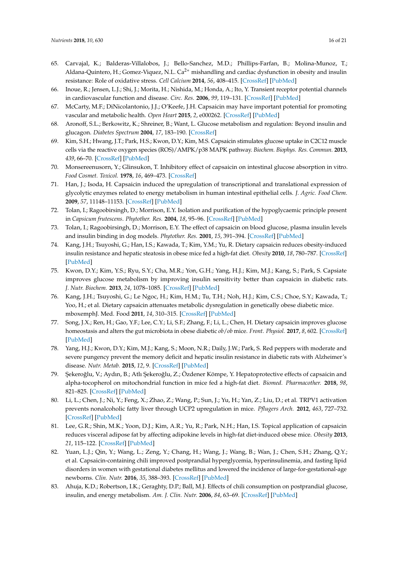- <span id="page-15-0"></span>65. Carvajal, K.; Balderas-Villalobos, J.; Bello-Sanchez, M.D.; Phillips-Farfan, B.; Molina-Munoz, T.; Aldana-Quintero, H.; Gomez-Viquez, N.L.  $Ca^{2+}$  mishandling and cardiac dysfunction in obesity and insulin resistance: Role of oxidative stress. *Cell Calcium* **2014**, *56*, 408–415. [\[CrossRef\]](http://dx.doi.org/10.1016/j.ceca.2014.08.003) [\[PubMed\]](http://www.ncbi.nlm.nih.gov/pubmed/25168907)
- <span id="page-15-1"></span>66. Inoue, R.; Jensen, L.J.; Shi, J.; Morita, H.; Nishida, M.; Honda, A.; Ito, Y. Transient receptor potential channels in cardiovascular function and disease. *Circ. Res.* **2006**, *99*, 119–131. [\[CrossRef\]](http://dx.doi.org/10.1161/01.RES.0000233356.10630.8a) [\[PubMed\]](http://www.ncbi.nlm.nih.gov/pubmed/16857972)
- <span id="page-15-2"></span>67. McCarty, M.F.; DiNicolantonio, J.J.; O'Keefe, J.H. Capsaicin may have important potential for promoting vascular and metabolic health. *Open Heart* **2015**, *2*, e000262. [\[CrossRef\]](http://dx.doi.org/10.1136/openhrt-2015-000262) [\[PubMed\]](http://www.ncbi.nlm.nih.gov/pubmed/26113985)
- <span id="page-15-3"></span>68. Aronoff, S.L.; Berkowitz, K.; Shreiner, B.; Want, L. Glucose metabolism and regulation: Beyond insulin and glucagon. *Diabetes Spectrum* **2004**, *17*, 183–190. [\[CrossRef\]](http://dx.doi.org/10.2337/diaspect.17.3.183)
- <span id="page-15-4"></span>69. Kim, S.H.; Hwang, J.T.; Park, H.S.; Kwon, D.Y.; Kim, M.S. Capsaicin stimulates glucose uptake in C2C12 muscle cells via the reactive oxygen species (ROS)/AMPK/p38 MAPK pathway. *Biochem. Biophys. Res. Commun.* **2013**, *439*, 66–70. [\[CrossRef\]](http://dx.doi.org/10.1016/j.bbrc.2013.08.027) [\[PubMed\]](http://www.ncbi.nlm.nih.gov/pubmed/23958300)
- <span id="page-15-5"></span>70. Monsereenusorn, Y.; Glinsukon, T. Inhibitory effect of capsaicin on intestinal glucose absorption in vitro. *Food Cosmet. Toxicol.* **1978**, *16*, 469–473. [\[CrossRef\]](http://dx.doi.org/10.1016/S0015-6264(78)80305-8)
- <span id="page-15-6"></span>71. Han, J.; Isoda, H. Capsaicin induced the upregulation of transcriptional and translational expression of glycolytic enzymes related to energy metabolism in human intestinal epithelial cells. *J. Agric. Food Chem.* **2009**, *57*, 11148–11153. [\[CrossRef\]](http://dx.doi.org/10.1021/jf901943q) [\[PubMed\]](http://www.ncbi.nlm.nih.gov/pubmed/19891501)
- <span id="page-15-7"></span>72. Tolan, I.; Ragoobirsingh, D.; Morrison, E.Y. Isolation and purification of the hypoglycaemic principle present in *Capsicum frutescens*. *Phytother. Res.* **2004**, *18*, 95–96. [\[CrossRef\]](http://dx.doi.org/10.1002/ptr.1328) [\[PubMed\]](http://www.ncbi.nlm.nih.gov/pubmed/14750210)
- <span id="page-15-8"></span>73. Tolan, I.; Ragoobirsingh, D.; Morrison, E.Y. The effect of capsaicin on blood glucose, plasma insulin levels and insulin binding in dog models. *Phytother. Res.* **2001**, *15*, 391–394. [\[CrossRef\]](http://dx.doi.org/10.1002/ptr.750) [\[PubMed\]](http://www.ncbi.nlm.nih.gov/pubmed/11507729)
- <span id="page-15-9"></span>74. Kang, J.H.; Tsuyoshi, G.; Han, I.S.; Kawada, T.; Kim, Y.M.; Yu, R. Dietary capsaicin reduces obesity-induced insulin resistance and hepatic steatosis in obese mice fed a high-fat diet. *Obesity* **2010**, *18*, 780–787. [\[CrossRef\]](http://dx.doi.org/10.1038/oby.2009.301) [\[PubMed\]](http://www.ncbi.nlm.nih.gov/pubmed/19798065)
- <span id="page-15-10"></span>75. Kwon, D.Y.; Kim, Y.S.; Ryu, S.Y.; Cha, M.R.; Yon, G.H.; Yang, H.J.; Kim, M.J.; Kang, S.; Park, S. Capsiate improves glucose metabolism by improving insulin sensitivity better than capsaicin in diabetic rats. *J. Nutr. Biochem.* **2013**, *24*, 1078–1085. [\[CrossRef\]](http://dx.doi.org/10.1016/j.jnutbio.2012.08.006) [\[PubMed\]](http://www.ncbi.nlm.nih.gov/pubmed/23026494)
- <span id="page-15-11"></span>76. Kang, J.H.; Tsuyoshi, G.; Le Ngoc, H.; Kim, H.M.; Tu, T.H.; Noh, H.J.; Kim, C.S.; Choe, S.Y.; Kawada, T.; Yoo, H.; et al. Dietary capsaicin attenuates metabolic dysregulation in genetically obese diabetic mice. mboxemphJ. Med. Food **2011**, *14*, 310–315. [\[CrossRef\]](http://dx.doi.org/10.1089/jmf.2010.1367) [\[PubMed\]](http://www.ncbi.nlm.nih.gov/pubmed/21332406)
- <span id="page-15-12"></span>77. Song, J.X.; Ren, H.; Gao, Y.F.; Lee, C.Y.; Li, S.F.; Zhang, F.; Li, L.; Chen, H. Dietary capsaicin improves glucose homeostasis and alters the gut microbiota in obese diabetic *ob*/*ob* mice. *Front. Physiol.* **2017**, *8*, 602. [\[CrossRef\]](http://dx.doi.org/10.3389/fphys.2017.00602) [\[PubMed\]](http://www.ncbi.nlm.nih.gov/pubmed/28890700)
- <span id="page-15-13"></span>78. Yang, H.J.; Kwon, D.Y.; Kim, M.J.; Kang, S.; Moon, N.R.; Daily, J.W.; Park, S. Red peppers with moderate and severe pungency prevent the memory deficit and hepatic insulin resistance in diabetic rats with Alzheimer's disease. *Nutr. Metab.* **2015**, *12*, 9. [\[CrossRef\]](http://dx.doi.org/10.1186/s12986-015-0005-6) [\[PubMed\]](http://www.ncbi.nlm.nih.gov/pubmed/25755673)
- <span id="page-15-14"></span>79. Şekeroğlu, V.; Aydın, B.; Atlı Şekeroğlu, Z.; Özdener Kömpe, Y. Hepatoprotective effects of capsaicin and alpha-tocopherol on mitochondrial function in mice fed a high-fat diet. *Biomed. Pharmacother.* **2018**, *98*, 821–825. [\[CrossRef\]](http://dx.doi.org/10.1016/j.biopha.2018.01.026) [\[PubMed\]](http://www.ncbi.nlm.nih.gov/pubmed/29571252)
- <span id="page-15-15"></span>80. Li, L.; Chen, J.; Ni, Y.; Feng, X.; Zhao, Z.; Wang, P.; Sun, J.; Yu, H.; Yan, Z.; Liu, D.; et al. TRPV1 activation prevents nonalcoholic fatty liver through UCP2 upregulation in mice. *Pflugers Arch.* **2012**, *463*, 727–732. [\[CrossRef\]](http://dx.doi.org/10.1007/s00424-012-1078-y) [\[PubMed\]](http://www.ncbi.nlm.nih.gov/pubmed/22395410)
- <span id="page-15-16"></span>81. Lee, G.R.; Shin, M.K.; Yoon, D.J.; Kim, A.R.; Yu, R.; Park, N.H.; Han, I.S. Topical application of capsaicin reduces visceral adipose fat by affecting adipokine levels in high-fat diet-induced obese mice. *Obesity* **2013**, *21*, 115–122. [\[CrossRef\]](http://dx.doi.org/10.1002/oby.20246) [\[PubMed\]](http://www.ncbi.nlm.nih.gov/pubmed/23505175)
- <span id="page-15-17"></span>82. Yuan, L.J.; Qin, Y.; Wang, L.; Zeng, Y.; Chang, H.; Wang, J.; Wang, B.; Wan, J.; Chen, S.H.; Zhang, Q.Y.; et al. Capsaicin-containing chili improved postprandial hyperglycemia, hyperinsulinemia, and fasting lipid disorders in women with gestational diabetes mellitus and lowered the incidence of large-for-gestational-age newborns. *Clin. Nutr.* **2016**, *35*, 388–393. [\[CrossRef\]](http://dx.doi.org/10.1016/j.clnu.2015.02.011) [\[PubMed\]](http://www.ncbi.nlm.nih.gov/pubmed/25771490)
- <span id="page-15-18"></span>83. Ahuja, K.D.; Robertson, I.K.; Geraghty, D.P.; Ball, M.J. Effects of chili consumption on postprandial glucose, insulin, and energy metabolism. *Am. J. Clin. Nutr.* **2006**, *84*, 63–69. [\[CrossRef\]](http://dx.doi.org/10.1093/ajcn/84.1.63) [\[PubMed\]](http://www.ncbi.nlm.nih.gov/pubmed/16825682)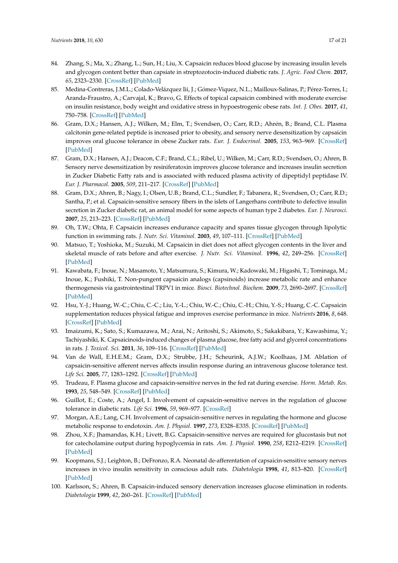- <span id="page-16-0"></span>84. Zhang, S.; Ma, X.; Zhang, L.; Sun, H.; Liu, X. Capsaicin reduces blood glucose by increasing insulin levels and glycogen content better than capsiate in streptozotocin-induced diabetic rats. *J. Agric. Food Chem.* **2017**, *65*, 2323–2330. [\[CrossRef\]](http://dx.doi.org/10.1021/acs.jafc.7b00132) [\[PubMed\]](http://www.ncbi.nlm.nih.gov/pubmed/28230360)
- <span id="page-16-1"></span>85. Medina-Contreras, J.M.L.; Colado-Velázquez Iii, J.; Gómez-Viquez, N.L.; Mailloux-Salinas, P.; Pérez-Torres, I.; Aranda-Fraustro, A.; Carvajal, K.; Bravo, G. Effects of topical capsaicin combined with moderate exercise on insulin resistance, body weight and oxidative stress in hypoestrogenic obese rats. *Int. J. Obes.* **2017**, *41*, 750–758. [\[CrossRef\]](http://dx.doi.org/10.1038/ijo.2017.33) [\[PubMed\]](http://www.ncbi.nlm.nih.gov/pubmed/28163315)
- <span id="page-16-2"></span>86. Gram, D.X.; Hansen, A.J.; Wilken, M.; Elm, T.; Svendsen, O.; Carr, R.D.; Ahrén, B.; Brand, C.L. Plasma calcitonin gene-related peptide is increased prior to obesity, and sensory nerve desensitization by capsaicin improves oral glucose tolerance in obese Zucker rats. *Eur. J. Endocrinol.* **2005**, *153*, 963–969. [\[CrossRef\]](http://dx.doi.org/10.1530/eje.1.02046) [\[PubMed\]](http://www.ncbi.nlm.nih.gov/pubmed/16322403)
- <span id="page-16-3"></span>87. Gram, D.X.; Hansen, A.J.; Deacon, C.F.; Brand, C.L.; Ribel, U.; Wilken, M.; Carr, R.D.; Svendsen, O.; Ahren, B. Sensory nerve desensitization by resiniferatoxin improves glucose tolerance and increases insulin secretion in Zucker Diabetic Fatty rats and is associated with reduced plasma activity of dipeptidyl peptidase IV. *Eur. J. Pharmacol.* **2005**, *509*, 211–217. [\[CrossRef\]](http://dx.doi.org/10.1016/j.ejphar.2004.12.039) [\[PubMed\]](http://www.ncbi.nlm.nih.gov/pubmed/15733558)
- <span id="page-16-4"></span>88. Gram, D.X.; Ahren, B.; Nagy, I.; Olsen, U.B.; Brand, C.L.; Sundler, F.; Tabanera, R.; Svendsen, O.; Carr, R.D.; Santha, P.; et al. Capsaicin-sensitive sensory fibers in the islets of Langerhans contribute to defective insulin secretion in Zucker diabetic rat, an animal model for some aspects of human type 2 diabetes. *Eur. J. Neurosci.* **2007**, *25*, 213–223. [\[CrossRef\]](http://dx.doi.org/10.1111/j.1460-9568.2006.05261.x) [\[PubMed\]](http://www.ncbi.nlm.nih.gov/pubmed/17241282)
- <span id="page-16-5"></span>89. Oh, T.W.; Ohta, F. Capsaicin increases endurance capacity and spares tissue glycogen through lipolytic function in swimming rats. *J. Nutr. Sci. Vitaminol.* **2003**, *49*, 107–111. [\[CrossRef\]](http://dx.doi.org/10.3177/jnsv.49.107) [\[PubMed\]](http://www.ncbi.nlm.nih.gov/pubmed/12887156)
- <span id="page-16-6"></span>90. Matsuo, T.; Yoshioka, M.; Suzuki, M. Capsaicin in diet does not affect glycogen contents in the liver and skeletal muscle of rats before and after exercise. *J. Nutr. Sci. Vitaminol.* **1996**, *42*, 249–256. [\[CrossRef\]](http://dx.doi.org/10.3177/jnsv.42.249) [\[PubMed\]](http://www.ncbi.nlm.nih.gov/pubmed/8866261)
- <span id="page-16-7"></span>91. Kawabata, F.; Inoue, N.; Masamoto, Y.; Matsumura, S.; Kimura, W.; Kadowaki, M.; Higashi, T.; Tominaga, M.; Inoue, K.; Fushiki, T. Non-pungent capsaicin analogs (capsinoids) increase metabolic rate and enhance thermogenesis via gastrointestinal TRPV1 in mice. *Biosci. Biotechnol. Biochem.* **2009**, *73*, 2690–2697. [\[CrossRef\]](http://dx.doi.org/10.1271/bbb.90555) [\[PubMed\]](http://www.ncbi.nlm.nih.gov/pubmed/19966466)
- <span id="page-16-8"></span>92. Hsu, Y.-J.; Huang, W.-C.; Chiu, C.-C.; Liu, Y.-L.; Chiu, W.-C.; Chiu, C.-H.; Chiu, Y.-S.; Huang, C.-C. Capsaicin supplementation reduces physical fatigue and improves exercise performance in mice. *Nutrients* **2016**, *8*, 648. [\[CrossRef\]](http://dx.doi.org/10.3390/nu8100648) [\[PubMed\]](http://www.ncbi.nlm.nih.gov/pubmed/27775591)
- <span id="page-16-9"></span>93. Imaizumi, K.; Sato, S.; Kumazawa, M.; Arai, N.; Aritoshi, S.; Akimoto, S.; Sakakibara, Y.; Kawashima, Y.; Tachiyashiki, K. Capsaicinoids-induced changes of plasma glucose, free fatty acid and glycerol concentrations in rats. *J. Toxicol. Sci.* **2011**, *36*, 109–116. [\[CrossRef\]](http://dx.doi.org/10.2131/jts.36.109) [\[PubMed\]](http://www.ncbi.nlm.nih.gov/pubmed/21297348)
- <span id="page-16-10"></span>94. Van de Wall, E.H.E.M.; Gram, D.X.; Strubbe, J.H.; Scheurink, A.J.W.; Koolhaas, J.M. Ablation of capsaicin-sensitive afferent nerves affects insulin response during an intravenous glucose tolerance test. *Life Sci.* **2005**, *77*, 1283–1292. [\[CrossRef\]](http://dx.doi.org/10.1016/j.lfs.2005.03.011) [\[PubMed\]](http://www.ncbi.nlm.nih.gov/pubmed/15939440)
- 95. Trudeau, F. Plasma glucose and capsaicin-sensitive nerves in the fed rat during exercise. *Horm. Metab. Res.* **1993**, *25*, 548–549. [\[CrossRef\]](http://dx.doi.org/10.1055/s-2007-1002173) [\[PubMed\]](http://www.ncbi.nlm.nih.gov/pubmed/8262466)
- 96. Guillot, E.; Coste, A.; Angel, I. Involvement of capsaicin-sensitive nerves in the regulation of glucose tolerance in diabetic rats. *Life Sci.* **1996**, *59*, 969–977. [\[CrossRef\]](http://dx.doi.org/10.1016/0024-3205(96)00403-1)
- 97. Morgan, A.E.; Lang, C.H. Involvement of capsaicin-sensitive nerves in regulating the hormone and glucose metabolic response to endotoxin. *Am. J. Physiol.* **1997**, *273*, E328–E335. [\[CrossRef\]](http://dx.doi.org/10.1152/ajpendo.1997.273.2.E328) [\[PubMed\]](http://www.ncbi.nlm.nih.gov/pubmed/9277386)
- <span id="page-16-12"></span>98. Zhou, X.F.; Jhamandas, K.H.; Livett, B.G. Capsaicin-sensitive nerves are required for glucostasis but not for catecholamine output during hypoglycemia in rats. *Am. J. Physiol.* **1990**, *258*, E212–E219. [\[CrossRef\]](http://dx.doi.org/10.1152/ajpendo.1990.258.1.E212) [\[PubMed\]](http://www.ncbi.nlm.nih.gov/pubmed/1967908)
- 99. Koopmans, S.J.; Leighton, B.; DeFronzo, R.A. Neonatal de-afferentation of capsaicin-sensitive sensory nerves increases in vivo insulin sensitivity in conscious adult rats. *Diabetologia* **1998**, *41*, 813–820. [\[CrossRef\]](http://dx.doi.org/10.1007/s001250050992) [\[PubMed\]](http://www.ncbi.nlm.nih.gov/pubmed/9686923)
- <span id="page-16-11"></span>100. Karlsson, S.; Ahren, B. Capsaicin-induced sensory denervation increases glucose elimination in rodents. *Diabetologia* **1999**, *42*, 260–261. [\[CrossRef\]](http://dx.doi.org/10.1007/s001250051149) [\[PubMed\]](http://www.ncbi.nlm.nih.gov/pubmed/10064112)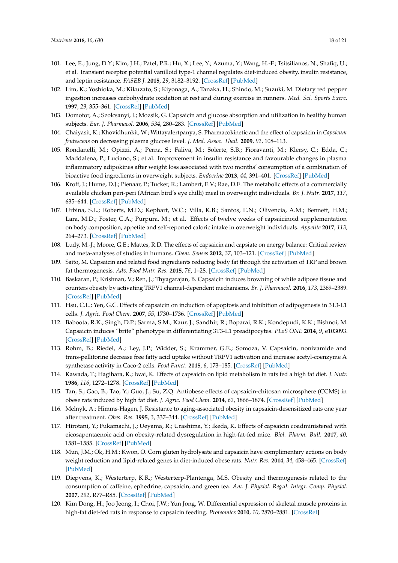- <span id="page-17-0"></span>101. Lee, E.; Jung, D.Y.; Kim, J.H.; Patel, P.R.; Hu, X.; Lee, Y.; Azuma, Y.; Wang, H.-F.; Tsitsilianos, N.; Shafiq, U.; et al. Transient receptor potential vanilloid type-1 channel regulates diet-induced obesity, insulin resistance, and leptin resistance. *FASEB J.* **2015**, *29*, 3182–3192. [\[CrossRef\]](http://dx.doi.org/10.1096/fj.14-268300) [\[PubMed\]](http://www.ncbi.nlm.nih.gov/pubmed/25888600)
- <span id="page-17-1"></span>102. Lim, K.; Yoshioka, M.; Kikuzato, S.; Kiyonaga, A.; Tanaka, H.; Shindo, M.; Suzuki, M. Dietary red pepper ingestion increases carbohydrate oxidation at rest and during exercise in runners. *Med. Sci. Sports Exerc.* **1997**, *29*, 355–361. [\[CrossRef\]](http://dx.doi.org/10.1097/00005768-199703000-00010) [\[PubMed\]](http://www.ncbi.nlm.nih.gov/pubmed/9139174)
- <span id="page-17-2"></span>103. Domotor, A.; Szolcsanyi, J.; Mozsik, G. Capsaicin and glucose absorption and utilization in healthy human subjects. *Eur. J. Pharmacol.* **2006**, *534*, 280–283. [\[CrossRef\]](http://dx.doi.org/10.1016/j.ejphar.2006.01.017) [\[PubMed\]](http://www.ncbi.nlm.nih.gov/pubmed/16612838)
- <span id="page-17-3"></span>104. Chaiyasit, K.; Khovidhunkit, W.; Wittayalertpanya, S. Pharmacokinetic and the effect of capsaicin in *Capsicum frutescens* on decreasing plasma glucose level. *J. Med. Assoc. Thail.* **2009**, *92*, 108–113.
- <span id="page-17-4"></span>105. Rondanelli, M.; Opizzi, A.; Perna, S.; Faliva, M.; Solerte, S.B.; Fioravanti, M.; Klersy, C.; Edda, C.; Maddalena, P.; Luciano, S.; et al. Improvement in insulin resistance and favourable changes in plasma inflammatory adipokines after weight loss associated with two months' consumption of a combination of bioactive food ingredients in overweight subjects. *Endocrine* **2013**, *44*, 391–401. [\[CrossRef\]](http://dx.doi.org/10.1007/s12020-012-9863-0) [\[PubMed\]](http://www.ncbi.nlm.nih.gov/pubmed/23271695)
- <span id="page-17-5"></span>106. Kroff, J.; Hume, D.J.; Pienaar, P.; Tucker, R.; Lambert, E.V.; Rae, D.E. The metabolic effects of a commercially available chicken peri-peri (African bird's eye chilli) meal in overweight individuals. *Br. J. Nutr.* **2017**, *117*, 635–644. [\[CrossRef\]](http://dx.doi.org/10.1017/S0007114515003104) [\[PubMed\]](http://www.ncbi.nlm.nih.gov/pubmed/26360825)
- <span id="page-17-6"></span>107. Urbina, S.L.; Roberts, M.D.; Kephart, W.C.; Villa, K.B.; Santos, E.N.; Olivencia, A.M.; Bennett, H.M.; Lara, M.D.; Foster, C.A.; Purpura, M.; et al. Effects of twelve weeks of capsaicinoid supplementation on body composition, appetite and self-reported caloric intake in overweight individuals. *Appetite* **2017**, *113*, 264–273. [\[CrossRef\]](http://dx.doi.org/10.1016/j.appet.2017.02.025) [\[PubMed\]](http://www.ncbi.nlm.nih.gov/pubmed/28235621)
- <span id="page-17-7"></span>108. Ludy, M.-J.; Moore, G.E.; Mattes, R.D. The effects of capsaicin and capsiate on energy balance: Critical review and meta-analyses of studies in humans. *Chem. Senses* **2012**, *37*, 103–121. [\[CrossRef\]](http://dx.doi.org/10.1093/chemse/bjr100) [\[PubMed\]](http://www.ncbi.nlm.nih.gov/pubmed/22038945)
- <span id="page-17-8"></span>109. Saito, M. Capsaicin and related food ingredients reducing body fat through the activation of TRP and brown fat thermogenesis. *Adv. Food Nutr. Res.* **2015**, *76*, 1–28. [\[CrossRef\]](http://dx.doi.org/10.1016/bs.afnr.2015.07.002) [\[PubMed\]](http://www.ncbi.nlm.nih.gov/pubmed/26602570)
- <span id="page-17-9"></span>110. Baskaran, P.; Krishnan, V.; Ren, J.; Thyagarajan, B. Capsaicin induces browning of white adipose tissue and counters obesity by activating TRPV1 channel-dependent mechanisms. *Br. J. Pharmacol.* **2016**, *173*, 2369–2389. [\[CrossRef\]](http://dx.doi.org/10.1111/bph.13514) [\[PubMed\]](http://www.ncbi.nlm.nih.gov/pubmed/27174467)
- <span id="page-17-10"></span>111. Hsu, C.L.; Yen, G.C. Effects of capsaicin on induction of apoptosis and inhibition of adipogenesis in 3T3-L1 cells. *J. Agric. Food Chem.* **2007**, *55*, 1730–1736. [\[CrossRef\]](http://dx.doi.org/10.1021/jf062912b) [\[PubMed\]](http://www.ncbi.nlm.nih.gov/pubmed/17295509)
- <span id="page-17-11"></span>112. Baboota, R.K.; Singh, D.P.; Sarma, S.M.; Kaur, J.; Sandhir, R.; Boparai, R.K.; Kondepudi, K.K.; Bishnoi, M. Capsaicin induces "brite" phenotype in differentiating 3T3-L1 preadipocytes. *PLoS ONE* **2014**, *9*, e103093. [\[CrossRef\]](http://dx.doi.org/10.1371/journal.pone.0103093) [\[PubMed\]](http://www.ncbi.nlm.nih.gov/pubmed/25072597)
- <span id="page-17-12"></span>113. Rohm, B.; Riedel, A.; Ley, J.P.; Widder, S.; Krammer, G.E.; Somoza, V. Capsaicin, nonivamide and trans-pellitorine decrease free fatty acid uptake without TRPV1 activation and increase acetyl-coenzyme A synthetase activity in Caco-2 cells. *Food Funct.* **2015**, *6*, 173–185. [\[CrossRef\]](http://dx.doi.org/10.1039/C4FO00435C) [\[PubMed\]](http://www.ncbi.nlm.nih.gov/pubmed/25422952)
- <span id="page-17-13"></span>114. Kawada, T.; Hagihara, K.; Iwai, K. Effects of capsaicin on lipid metabolism in rats fed a high fat diet. *J. Nutr.* **1986**, *116*, 1272–1278. [\[CrossRef\]](http://dx.doi.org/10.1093/jn/116.7.1272) [\[PubMed\]](http://www.ncbi.nlm.nih.gov/pubmed/2875141)
- <span id="page-17-14"></span>115. Tan, S.; Gao, B.; Tao, Y.; Guo, J.; Su, Z.Q. Antiobese effects of capsaicin-chitosan microsphere (CCMS) in obese rats induced by high fat diet. *J. Agric. Food Chem.* **2014**, *62*, 1866–1874. [\[CrossRef\]](http://dx.doi.org/10.1021/jf4040628) [\[PubMed\]](http://www.ncbi.nlm.nih.gov/pubmed/24479662)
- <span id="page-17-15"></span>116. Melnyk, A.; Himms-Hagen, J. Resistance to aging-associated obesity in capsaicin-desensitized rats one year after treatment. *Obes. Res.* **1995**, *3*, 337–344. [\[CrossRef\]](http://dx.doi.org/10.1002/j.1550-8528.1995.tb00159.x) [\[PubMed\]](http://www.ncbi.nlm.nih.gov/pubmed/8521150)
- <span id="page-17-16"></span>117. Hirotani, Y.; Fukamachi, J.; Ueyama, R.; Urashima, Y.; Ikeda, K. Effects of capsaicin coadministered with eicosapentaenoic acid on obesity-related dysregulation in high-fat-fed mice. *Biol. Pharm. Bull.* **2017**, *40*, 1581–1585. [\[CrossRef\]](http://dx.doi.org/10.1248/bpb.b17-00247) [\[PubMed\]](http://www.ncbi.nlm.nih.gov/pubmed/28867743)
- <span id="page-17-17"></span>118. Mun, J.M.; Ok, H.M.; Kwon, O. Corn gluten hydrolysate and capsaicin have complimentary actions on body weight reduction and lipid-related genes in diet-induced obese rats. *Nutr. Res.* **2014**, *34*, 458–465. [\[CrossRef\]](http://dx.doi.org/10.1016/j.nutres.2014.04.009) [\[PubMed\]](http://www.ncbi.nlm.nih.gov/pubmed/24916560)
- <span id="page-17-18"></span>119. Diepvens, K.; Westerterp, K.R.; Westerterp-Plantenga, M.S. Obesity and thermogenesis related to the consumption of caffeine, ephedrine, capsaicin, and green tea. *Am. J. Physiol. Regul. Integr. Comp. Physiol.* **2007**, *292*, R77–R85. [\[CrossRef\]](http://dx.doi.org/10.1152/ajpregu.00832.2005) [\[PubMed\]](http://www.ncbi.nlm.nih.gov/pubmed/16840650)
- <span id="page-17-19"></span>120. Kim Dong, H.; Joo Jeong, I.; Choi, J.W.; Yun Jong, W. Differential expression of skeletal muscle proteins in high-fat diet-fed rats in response to capsaicin feeding. *Proteomics* **2010**, *10*, 2870–2881. [\[CrossRef\]](http://dx.doi.org/10.1002/pmic.200900815)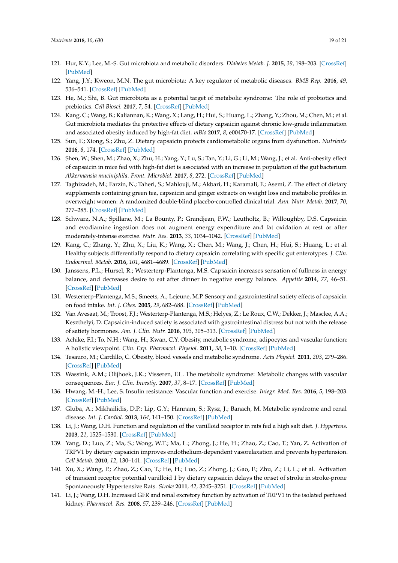- <span id="page-18-0"></span>121. Hur, K.Y.; Lee, M.-S. Gut microbiota and metabolic disorders. *Diabetes Metab. J.* **2015**, *39*, 198–203. [\[CrossRef\]](http://dx.doi.org/10.4093/dmj.2015.39.3.198) [\[PubMed\]](http://www.ncbi.nlm.nih.gov/pubmed/26124989)
- <span id="page-18-1"></span>122. Yang, J.Y.; Kweon, M.N. The gut microbiota: A key regulator of metabolic diseases. *BMB Rep.* **2016**, *49*, 536–541. [\[CrossRef\]](http://dx.doi.org/10.5483/BMBRep.2016.49.10.144) [\[PubMed\]](http://www.ncbi.nlm.nih.gov/pubmed/27530685)
- <span id="page-18-2"></span>123. He, M.; Shi, B. Gut microbiota as a potential target of metabolic syndrome: The role of probiotics and prebiotics. *Cell Biosci.* **2017**, *7*, 54. [\[CrossRef\]](http://dx.doi.org/10.1186/s13578-017-0183-1) [\[PubMed\]](http://www.ncbi.nlm.nih.gov/pubmed/29090088)
- <span id="page-18-3"></span>124. Kang, C.; Wang, B.; Kaliannan, K.; Wang, X.; Lang, H.; Hui, S.; Huang, L.; Zhang, Y.; Zhou, M.; Chen, M.; et al. Gut microbiota mediates the protective effects of dietary capsaicin against chronic low-grade inflammation and associated obesity induced by high-fat diet. *mBio* **2017**, *8*, e00470-17. [\[CrossRef\]](http://dx.doi.org/10.1128/mBio.00470-17) [\[PubMed\]](http://www.ncbi.nlm.nih.gov/pubmed/28536285)
- <span id="page-18-4"></span>125. Sun, F.; Xiong, S.; Zhu, Z. Dietary capsaicin protects cardiometabolic organs from dysfunction. *Nutrients* **2016**, *8*, 174. [\[CrossRef\]](http://dx.doi.org/10.3390/nu8050174) [\[PubMed\]](http://www.ncbi.nlm.nih.gov/pubmed/27120617)
- <span id="page-18-5"></span>126. Shen, W.; Shen, M.; Zhao, X.; Zhu, H.; Yang, Y.; Lu, S.; Tan, Y.; Li, G.; Li, M.; Wang, J.; et al. Anti-obesity effect of capsaicin in mice fed with high-fat diet is associated with an increase in population of the gut bacterium *Akkermansia muciniphila*. *Front. Microbiol.* **2017**, *8*, 272. [\[CrossRef\]](http://dx.doi.org/10.3389/fmicb.2017.00272) [\[PubMed\]](http://www.ncbi.nlm.nih.gov/pubmed/28280490)
- <span id="page-18-6"></span>127. Taghizadeh, M.; Farzin, N.; Taheri, S.; Mahlouji, M.; Akbari, H.; Karamali, F.; Asemi, Z. The effect of dietary supplements containing green tea, capsaicin and ginger extracts on weight loss and metabolic profiles in overweight women: A randomized double-blind placebo-controlled clinical trial. *Ann. Nutr. Metab.* **2017**, *70*, 277–285. [\[CrossRef\]](http://dx.doi.org/10.1159/000471889) [\[PubMed\]](http://www.ncbi.nlm.nih.gov/pubmed/28595182)
- <span id="page-18-7"></span>128. Schwarz, N.A.; Spillane, M.; La Bounty, P.; Grandjean, P.W.; Leutholtz, B.; Willoughby, D.S. Capsaicin and evodiamine ingestion does not augment energy expenditure and fat oxidation at rest or after moderately-intense exercise. *Nutr. Res.* **2013**, *33*, 1034–1042. [\[CrossRef\]](http://dx.doi.org/10.1016/j.nutres.2013.08.007) [\[PubMed\]](http://www.ncbi.nlm.nih.gov/pubmed/24267043)
- <span id="page-18-8"></span>129. Kang, C.; Zhang, Y.; Zhu, X.; Liu, K.; Wang, X.; Chen, M.; Wang, J.; Chen, H.; Hui, S.; Huang, L.; et al. Healthy subjects differentially respond to dietary capsaicin correlating with specific gut enterotypes. *J. Clin. Endocrinol. Metab.* **2016**, *101*, 4681–4689. [\[CrossRef\]](http://dx.doi.org/10.1210/jc.2016-2786) [\[PubMed\]](http://www.ncbi.nlm.nih.gov/pubmed/27676396)
- <span id="page-18-9"></span>130. Janssens, P.L.; Hursel, R.; Westerterp-Plantenga, M.S. Capsaicin increases sensation of fullness in energy balance, and decreases desire to eat after dinner in negative energy balance. *Appetite* **2014**, *77*, 46–51. [\[CrossRef\]](http://dx.doi.org/10.1016/j.appet.2014.02.018) [\[PubMed\]](http://www.ncbi.nlm.nih.gov/pubmed/24630935)
- <span id="page-18-10"></span>131. Westerterp-Plantenga, M.S.; Smeets, A.; Lejeune, M.P. Sensory and gastrointestinal satiety effects of capsaicin on food intake. *Int. J. Obes.* **2005**, *29*, 682–688. [\[CrossRef\]](http://dx.doi.org/10.1038/sj.ijo.0802862) [\[PubMed\]](http://www.ncbi.nlm.nih.gov/pubmed/15611784)
- <span id="page-18-11"></span>132. Van Avesaat, M.; Troost, F.J.; Westerterp-Plantenga, M.S.; Helyes, Z.; Le Roux, C.W.; Dekker, J.; Masclee, A.A.; Keszthelyi, D. Capsaicin-induced satiety is associated with gastrointestinal distress but not with the release of satiety hormones. *Am. J. Clin. Nutr.* **2016**, *103*, 305–313. [\[CrossRef\]](http://dx.doi.org/10.3945/ajcn.115.123414) [\[PubMed\]](http://www.ncbi.nlm.nih.gov/pubmed/26718419)
- <span id="page-18-12"></span>133. Achike, F.I.; To, N.H.; Wang, H.; Kwan, C.Y. Obesity, metabolic syndrome, adipocytes and vascular function: A holistic viewpoint. *Clin. Exp. Pharmacol. Physiol.* **2011**, *38*, 1–10. [\[CrossRef\]](http://dx.doi.org/10.1111/j.1440-1681.2010.05460.x) [\[PubMed\]](http://www.ncbi.nlm.nih.gov/pubmed/21083697)
- 134. Tesauro, M.; Cardillo, C. Obesity, blood vessels and metabolic syndrome. *Acta Physiol.* **2011**, *203*, 279–286. [\[CrossRef\]](http://dx.doi.org/10.1111/j.1748-1716.2011.02290.x) [\[PubMed\]](http://www.ncbi.nlm.nih.gov/pubmed/21439028)
- 135. Wassink, A.M.; Olijhoek, J.K.; Visseren, F.L. The metabolic syndrome: Metabolic changes with vascular consequences. *Eur. J. Clin. Investig.* **2007**, *37*, 8–17. [\[CrossRef\]](http://dx.doi.org/10.1111/j.1365-2362.2007.01755.x) [\[PubMed\]](http://www.ncbi.nlm.nih.gov/pubmed/17181562)
- <span id="page-18-13"></span>136. Hwang, M.-H.; Lee, S. Insulin resistance: Vascular function and exercise. *Integr. Med. Res.* **2016**, *5*, 198–203. [\[CrossRef\]](http://dx.doi.org/10.1016/j.imr.2016.06.001) [\[PubMed\]](http://www.ncbi.nlm.nih.gov/pubmed/28462118)
- <span id="page-18-14"></span>137. Gluba, A.; Mikhailidis, D.P.; Lip, G.Y.; Hannam, S.; Rysz, J.; Banach, M. Metabolic syndrome and renal disease. *Int. J. Cardiol.* **2013**, *164*, 141–150. [\[CrossRef\]](http://dx.doi.org/10.1016/j.ijcard.2012.01.013) [\[PubMed\]](http://www.ncbi.nlm.nih.gov/pubmed/22305775)
- <span id="page-18-15"></span>138. Li, J.; Wang, D.H. Function and regulation of the vanilloid receptor in rats fed a high salt diet. *J. Hypertens.* **2003**, *21*, 1525–1530. [\[CrossRef\]](http://dx.doi.org/10.1097/00004872-200308000-00017) [\[PubMed\]](http://www.ncbi.nlm.nih.gov/pubmed/12872047)
- <span id="page-18-16"></span>139. Yang, D.; Luo, Z.; Ma, S.; Wong, W.T.; Ma, L.; Zhong, J.; He, H.; Zhao, Z.; Cao, T.; Yan, Z. Activation of TRPV1 by dietary capsaicin improves endothelium-dependent vasorelaxation and prevents hypertension. *Cell Metab.* **2010**, *12*, 130–141. [\[CrossRef\]](http://dx.doi.org/10.1016/j.cmet.2010.05.015) [\[PubMed\]](http://www.ncbi.nlm.nih.gov/pubmed/20674858)
- <span id="page-18-17"></span>140. Xu, X.; Wang, P.; Zhao, Z.; Cao, T.; He, H.; Luo, Z.; Zhong, J.; Gao, F.; Zhu, Z.; Li, L.; et al. Activation of transient receptor potential vanilloid 1 by dietary capsaicin delays the onset of stroke in stroke-prone Spontaneously Hypertensive Rats. *Stroke* **2011**, *42*, 3245–3251. [\[CrossRef\]](http://dx.doi.org/10.1161/STROKEAHA.111.618306) [\[PubMed\]](http://www.ncbi.nlm.nih.gov/pubmed/21852608)
- <span id="page-18-18"></span>141. Li, J.; Wang, D.H. Increased GFR and renal excretory function by activation of TRPV1 in the isolated perfused kidney. *Pharmacol. Res.* **2008**, *57*, 239–246. [\[CrossRef\]](http://dx.doi.org/10.1016/j.phrs.2008.01.011) [\[PubMed\]](http://www.ncbi.nlm.nih.gov/pubmed/18329285)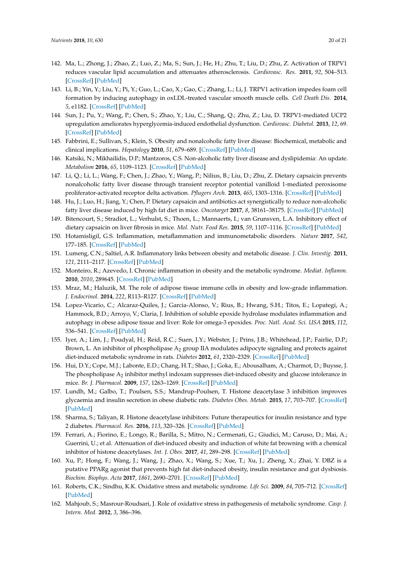- <span id="page-19-0"></span>142. Ma, L.; Zhong, J.; Zhao, Z.; Luo, Z.; Ma, S.; Sun, J.; He, H.; Zhu, T.; Liu, D.; Zhu, Z. Activation of TRPV1 reduces vascular lipid accumulation and attenuates atherosclerosis. *Cardiovasc. Res.* **2011**, *92*, 504–513. [\[CrossRef\]](http://dx.doi.org/10.1093/cvr/cvr245) [\[PubMed\]](http://www.ncbi.nlm.nih.gov/pubmed/21908651)
- <span id="page-19-1"></span>143. Li, B.; Yin, Y.; Liu, Y.; Pi, Y.; Guo, L.; Cao, X.; Gao, C.; Zhang, L.; Li, J. TRPV1 activation impedes foam cell formation by inducing autophagy in oxLDL-treated vascular smooth muscle cells. *Cell Death Dis.* **2014**, *5*, e1182. [\[CrossRef\]](http://dx.doi.org/10.1038/cddis.2014.146) [\[PubMed\]](http://www.ncbi.nlm.nih.gov/pubmed/24743737)
- <span id="page-19-2"></span>144. Sun, J.; Pu, Y.; Wang, P.; Chen, S.; Zhao, Y.; Liu, C.; Shang, Q.; Zhu, Z.; Liu, D. TRPV1-mediated UCP2 upregulation ameliorates hyperglycemia-induced endothelial dysfunction. *Cardiovasc. Diabetol.* **2013**, *12*, 69. [\[CrossRef\]](http://dx.doi.org/10.1186/1475-2840-12-69) [\[PubMed\]](http://www.ncbi.nlm.nih.gov/pubmed/23607427)
- <span id="page-19-3"></span>145. Fabbrini, E.; Sullivan, S.; Klein, S. Obesity and nonalcoholic fatty liver disease: Biochemical, metabolic and clinical implications. *Hepatology* **2010**, *51*, 679–689. [\[CrossRef\]](http://dx.doi.org/10.1002/hep.23280) [\[PubMed\]](http://www.ncbi.nlm.nih.gov/pubmed/20041406)
- <span id="page-19-4"></span>146. Katsiki, N.; Mikhailidis, D.P.; Mantzoros, C.S. Non-alcoholic fatty liver disease and dyslipidemia: An update. *Metabolism* **2016**, *65*, 1109–1123. [\[CrossRef\]](http://dx.doi.org/10.1016/j.metabol.2016.05.003) [\[PubMed\]](http://www.ncbi.nlm.nih.gov/pubmed/27237577)
- <span id="page-19-5"></span>147. Li, Q.; Li, L.; Wang, F.; Chen, J.; Zhao, Y.; Wang, P.; Nilius, B.; Liu, D.; Zhu, Z. Dietary capsaicin prevents nonalcoholic fatty liver disease through transient receptor potential vanilloid 1-mediated peroxisome proliferator-activated receptor delta activation. *Pflugers Arch.* **2013**, *465*, 1303–1316. [\[CrossRef\]](http://dx.doi.org/10.1007/s00424-013-1274-4) [\[PubMed\]](http://www.ncbi.nlm.nih.gov/pubmed/23605066)
- <span id="page-19-6"></span>148. Hu, J.; Luo, H.; Jiang, Y.; Chen, P. Dietary capsaicin and antibiotics act synergistically to reduce non-alcoholic fatty liver disease induced by high fat diet in mice. *Oncotarget* **2017**, *8*, 38161–38175. [\[CrossRef\]](http://dx.doi.org/10.18632/oncotarget.16975) [\[PubMed\]](http://www.ncbi.nlm.nih.gov/pubmed/28445156)
- <span id="page-19-7"></span>149. Bitencourt, S.; Stradiot, L.; Verhulst, S.; Thoen, L.; Mannaerts, I.; van Grunsven, L.A. Inhibitory effect of dietary capsaicin on liver fibrosis in mice. *Mol. Nutr. Food Res.* **2015**, *59*, 1107–1116. [\[CrossRef\]](http://dx.doi.org/10.1002/mnfr.201400649) [\[PubMed\]](http://www.ncbi.nlm.nih.gov/pubmed/25755097)
- <span id="page-19-8"></span>150. Hotamisligil, G.S. Inflammation, metaflammation and immunometabolic disorders. *Nature* **2017**, *542*, 177–185. [\[CrossRef\]](http://dx.doi.org/10.1038/nature21363) [\[PubMed\]](http://www.ncbi.nlm.nih.gov/pubmed/28179656)
- 151. Lumeng, C.N.; Saltiel, A.R. Inflammatory links between obesity and metabolic disease. *J. Clin. Investig.* **2011**, *121*, 2111–2117. [\[CrossRef\]](http://dx.doi.org/10.1172/JCI57132) [\[PubMed\]](http://www.ncbi.nlm.nih.gov/pubmed/21633179)
- <span id="page-19-9"></span>152. Monteiro, R.; Azevedo, I. Chronic inflammation in obesity and the metabolic syndrome. *Mediat. Inflamm.* **2010**, *2010*, 289645. [\[CrossRef\]](http://dx.doi.org/10.1155/2010/289645) [\[PubMed\]](http://www.ncbi.nlm.nih.gov/pubmed/20706689)
- <span id="page-19-10"></span>153. Mraz, M.; Haluzik, M. The role of adipose tissue immune cells in obesity and low-grade inflammation. *J. Endocrinol.* **2014**, *222*, R113–R127. [\[CrossRef\]](http://dx.doi.org/10.1530/JOE-14-0283) [\[PubMed\]](http://www.ncbi.nlm.nih.gov/pubmed/25006217)
- <span id="page-19-11"></span>154. Lopez-Vicario, C.; Alcaraz-Quiles, J.; Garcia-Alonso, V.; Rius, B.; Hwang, S.H.; Titos, E.; Lopategi, A.; Hammock, B.D.; Arroyo, V.; Claria, J. Inhibition of soluble epoxide hydrolase modulates inflammation and autophagy in obese adipose tissue and liver: Role for omega-3 epoxides. *Proc. Natl. Acad. Sci. USA* **2015**, *112*, 536–541. [\[CrossRef\]](http://dx.doi.org/10.1073/pnas.1422590112) [\[PubMed\]](http://www.ncbi.nlm.nih.gov/pubmed/25550510)
- 155. Iyer, A.; Lim, J.; Poudyal, H.; Reid, R.C.; Suen, J.Y.; Webster, J.; Prins, J.B.; Whitehead, J.P.; Fairlie, D.P.; Brown, L. An inhibitor of phospholipase A<sup>2</sup> group IIA modulates adipocyte signaling and protects against diet-induced metabolic syndrome in rats. *Diabetes* **2012**, *61*, 2320–2329. [\[CrossRef\]](http://dx.doi.org/10.2337/db11-1179) [\[PubMed\]](http://www.ncbi.nlm.nih.gov/pubmed/22923652)
- 156. Hui, D.Y.; Cope, M.J.; Labonte, E.D.; Chang, H.T.; Shao, J.; Goka, E.; Abousalham, A.; Charmot, D.; Buysse, J. The phospholipase  $\mathrm{A}_2$  inhibitor methyl indoxam suppresses diet-induced obesity and glucose intolerance in mice. *Br. J. Pharmacol.* **2009**, *157*, 1263–1269. [\[CrossRef\]](http://dx.doi.org/10.1111/j.1476-5381.2009.00308.x) [\[PubMed\]](http://www.ncbi.nlm.nih.gov/pubmed/19563529)
- 157. Lundh, M.; Galbo, T.; Poulsen, S.S.; Mandrup-Poulsen, T. Histone deacetylase 3 inhibition improves glycaemia and insulin secretion in obese diabetic rats. *Diabetes Obes. Metab.* **2015**, *17*, 703–707. [\[CrossRef\]](http://dx.doi.org/10.1111/dom.12470) [\[PubMed\]](http://www.ncbi.nlm.nih.gov/pubmed/25846481)
- 158. Sharma, S.; Taliyan, R. Histone deacetylase inhibitors: Future therapeutics for insulin resistance and type 2 diabetes. *Pharmacol. Res.* **2016**, *113*, 320–326. [\[CrossRef\]](http://dx.doi.org/10.1016/j.phrs.2016.09.009) [\[PubMed\]](http://www.ncbi.nlm.nih.gov/pubmed/27620069)
- 159. Ferrari, A.; Fiorino, E.; Longo, R.; Barilla, S.; Mitro, N.; Cermenati, G.; Giudici, M.; Caruso, D.; Mai, A.; Guerrini, U.; et al. Attenuation of diet-induced obesity and induction of white fat browning with a chemical inhibitor of histone deacetylases. *Int. J. Obes.* **2017**, *41*, 289–298. [\[CrossRef\]](http://dx.doi.org/10.1038/ijo.2016.191) [\[PubMed\]](http://www.ncbi.nlm.nih.gov/pubmed/27795551)
- <span id="page-19-12"></span>160. Xu, P.; Hong, F.; Wang, J.; Wang, J.; Zhao, X.; Wang, S.; Xue, T.; Xu, J.; Zheng, X.; Zhai, Y. DBZ is a putative PPARg agonist that prevents high fat diet-induced obesity, insulin resistance and gut dysbiosis. *Biochim. Biophys. Acta* **2017**, *1861*, 2690–2701. [\[CrossRef\]](http://dx.doi.org/10.1016/j.bbagen.2017.07.013) [\[PubMed\]](http://www.ncbi.nlm.nih.gov/pubmed/28736228)
- <span id="page-19-13"></span>161. Roberts, C.K.; Sindhu, K.K. Oxidative stress and metabolic syndrome. *Life Sci.* **2009**, *84*, 705–712. [\[CrossRef\]](http://dx.doi.org/10.1016/j.lfs.2009.02.026) [\[PubMed\]](http://www.ncbi.nlm.nih.gov/pubmed/19281826)
- <span id="page-19-14"></span>162. Mahjoub, S.; Masrour-Roudsari, J. Role of oxidative stress in pathogenesis of metabolic syndrome. *Casp. J. Intern. Med.* **2012**, *3*, 386–396.